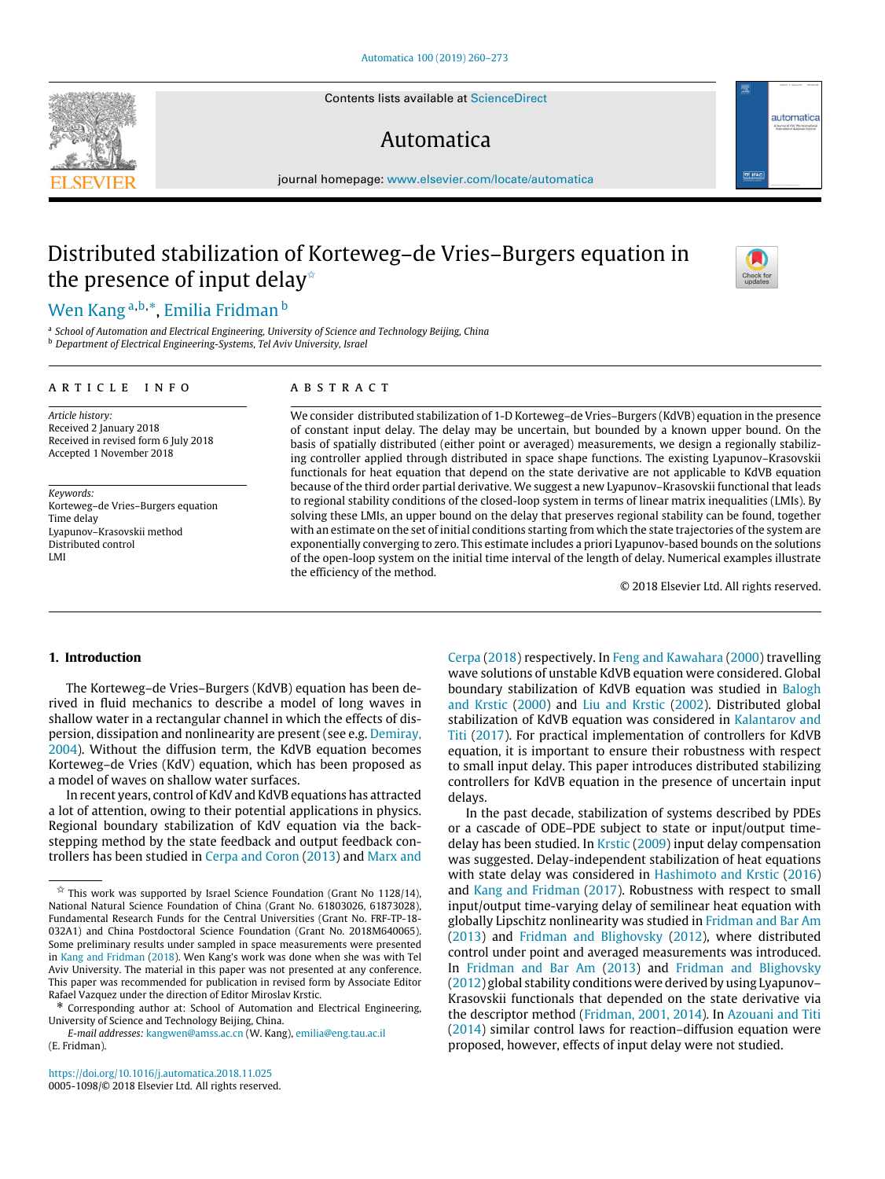Contents lists available at [ScienceDirect](http://www.elsevier.com/locate/automatica)

# Automatica



# Distributed stabilization of Korteweg–de Vries–Burgers equation in the presence of input delay<sup> $\star$ </sup>

# Wen Kang <sup>a,b,</sup>\*, Emilia Fridman <sup>b</sup>

<sup>a</sup> School of Automation and Electrical Engineering, University of Science and Technology Beijing, China<br><sup>b</sup> Department of Electrical Engineering-Systems, Tel Aviv University, Israel

#### ARTICLE INFO

# a b s t r a c t

*Article history:* Received 2 January 2018 Received in revised form 6 July 2018 Accepted 1 November 2018

*Keywords:* Korteweg–de Vries–Burgers equation Time delay Lyapunov–Krasovskii method Distributed control LMI

We consider distributed stabilization of 1-D Korteweg–de Vries–Burgers (KdVB) equation in the presence of constant input delay. The delay may be uncertain, but bounded by a known upper bound. On the basis of spatially distributed (either point or averaged) measurements, we design a regionally stabilizing controller applied through distributed in space shape functions. The existing Lyapunov–Krasovskii functionals for heat equation that depend on the state derivative are not applicable to KdVB equation because of the third order partial derivative. We suggest a new Lyapunov–Krasovskii functional that leads to regional stability conditions of the closed-loop system in terms of linear matrix inequalities (LMIs). By solving these LMIs, an upper bound on the delay that preserves regional stability can be found, together with an estimate on the set of initial conditions starting from which the state trajectories of the system are exponentially converging to zero. This estimate includes a priori Lyapunov-based bounds on the solutions of the open-loop system on the initial time interval of the length of delay. Numerical examples illustrate the efficiency of the method.

© 2018 Elsevier Ltd. All rights reserved.

### **1. Introduction**

The Korteweg–de Vries–Burgers (KdVB) equation has been derived in fluid mechanics to describe a model of long waves in shallow water in a rectangular channel in which the effects of dispersion, dissipation and nonlinearity are present (see e.g. Demiray, 2004). Without the diffusion term, the KdVB equation becomes Korteweg–de Vries (KdV) equation, which has been proposed as a model of waves on shallow water surfaces.

In recent years, control of KdV and KdVB equations has attracted a lot of attention, owing to their potential applications in physics. Regional boundary stabilization of KdV equation via the backstepping method by the state feedback and output feedback controllers has been studied in Cerpa and Coron (2013) and Marx and

*E-mail addresses:* [kangwen@amss.ac.cn](mailto:kangwen@amss.ac.cn) (W. Kang), [emilia@eng.tau.ac.il](mailto:emilia@eng.tau.ac.il) (E. Fridman).

Cerpa (2018) respectively. In Feng and Kawahara (2000) travelling wave solutions of unstable KdVB equation were considered. Global boundary stabilization of KdVB equation was studied in Balogh and Krstic (2000) and Liu and Krstic (2002). Distributed global stabilization of KdVB equation was considered in Kalantarov and Titi (2017). For practical implementation of controllers for KdVB equation, it is important to ensure their robustness with respect to small input delay. This paper introduces distributed stabilizing controllers for KdVB equation in the presence of uncertain input delays.

In the past decade, stabilization of systems described by PDEs or a cascade of ODE–PDE subject to state or input/output timedelay has been studied. In Krstic (2009) input delay compensation was suggested. Delay-independent stabilization of heat equations with state delay was considered in Hashimoto and Krstic (2016) and Kang and Fridman (2017). Robustness with respect to small input/output time-varying delay of semilinear heat equation with globally Lipschitz nonlinearity was studied in Fridman and Bar Am (2013) and Fridman and Blighovsky (2012), where distributed control under point and averaged measurements was introduced. In Fridman and Bar Am (2013) and Fridman and Blighovsky (2012) global stability conditions were derived by using Lyapunov– Krasovskii functionals that depended on the state derivative via the descriptor method (Fridman, 2001, 2014). In Azouani and Titi (2014) similar control laws for reaction–diffusion equation were proposed, however, effects of input delay were not studied.



automatica



 $\overrightarrow{x}$  This work was supported by Israel Science Foundation (Grant No 1128/14), National Natural Science Foundation of China (Grant No. 61803026, 61873028), Fundamental Research Funds for the Central Universities (Grant No. FRF-TP-18- 032A1) and China Postdoctoral Science Foundation (Grant No. 2018M640065). Some preliminary results under sampled in space measurements were presented in Kang and Fridman (2018). Wen Kang's work was done when she was with Tel Aviv University. The material in this paper was not presented at any conference. This paper was recommended for publication in revised form by Associate Editor Rafael Vazquez under the direction of Editor Miroslav Krstic.

<sup>\*</sup> Corresponding author at: School of Automation and Electrical Engineering, University of Science and Technology Beijing, China.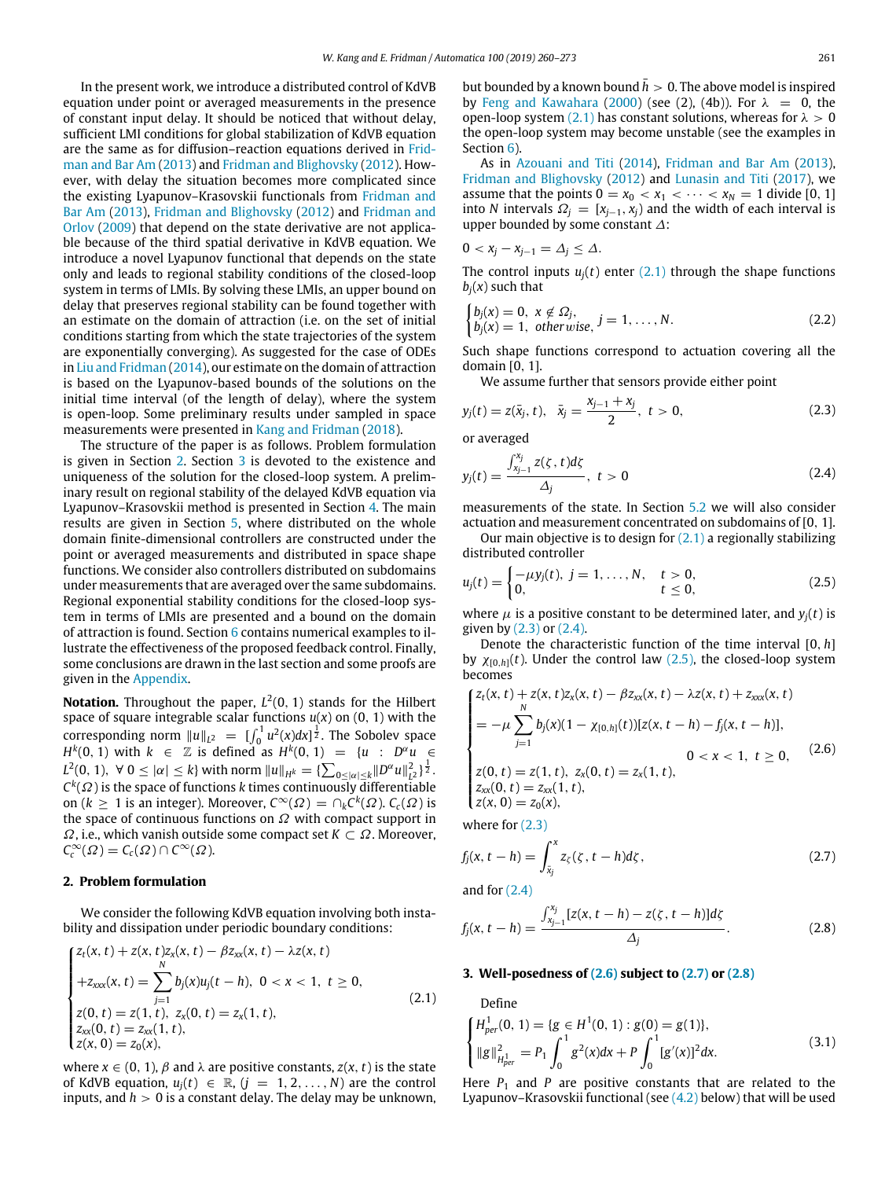In the present work, we introduce a distributed control of KdVB equation under point or averaged measurements in the presence of constant input delay. It should be noticed that without delay, sufficient LMI conditions for global stabilization of KdVB equation are the same as for diffusion–reaction equations derived in Fridman and Bar Am (2013) and Fridman and Blighovsky (2012). However, with delay the situation becomes more complicated since the existing Lyapunov–Krasovskii functionals from Fridman and Bar Am (2013), Fridman and Blighovsky (2012) and Fridman and Orlov (2009) that depend on the state derivative are not applicable because of the third spatial derivative in KdVB equation. We introduce a novel Lyapunov functional that depends on the state only and leads to regional stability conditions of the closed-loop system in terms of LMIs. By solving these LMIs, an upper bound on delay that preserves regional stability can be found together with an estimate on the domain of attraction (i.e. on the set of initial conditions starting from which the state trajectories of the system are exponentially converging). As suggested for the case of ODEs in Liu and Fridman (2014), our estimate on the domain of attraction is based on the Lyapunov-based bounds of the solutions on the initial time interval (of the length of delay), where the system is open-loop. Some preliminary results under sampled in space measurements were presented in Kang and Fridman (2018).

The structure of the paper is as follows. Problem formulation is given in Section 2. Section 3 is devoted to the existence and uniqueness of the solution for the closed-loop system. A preliminary result on regional stability of the delayed KdVB equation via Lyapunov–Krasovskii method is presented in Section 4. The main results are given in Section 5, where distributed on the whole domain finite-dimensional controllers are constructed under the point or averaged measurements and distributed in space shape functions. We consider also controllers distributed on subdomains under measurements that are averaged over the same subdomains. Regional exponential stability conditions for the closed-loop system in terms of LMIs are presented and a bound on the domain of attraction is found. Section 6 contains numerical examples to illustrate the effectiveness of the proposed feedback control. Finally, some conclusions are drawn in the last section and some proofs are given in the Appendix.

**Notation.** Throughout the paper, *L* 2 (0, 1) stands for the Hilbert space of square integrable scalar functions *u*(*x*) on (0, 1) with the corresponding norm  $||u||_{L^2} = [\int_0^1 u^2(x)dx]^{\frac{1}{2}}$ . The Sobolev space *H*<sup>k</sup>(0, 1) with  $k$  ∈  $\mathbb{Z}$  is defined as  $H^k(0, 1) = \{u : D^{\alpha}u \in$  $L^2(0, 1)$ ,  $\forall$  0  $\leq |\alpha| \leq k$ } with norm  $||u||_{H^k} = {\sum_{0 \leq |\alpha| \leq k} ||D^{\alpha}u||^2_{L^2}}^{\frac{1}{2}}.$  $C^k(\varOmega)$  is the space of functions *k* times continuously differentiable on  $(k \geq 1$  is an integer). Moreover,  $C^{\infty}(\Omega) = \cap_k C^k(\Omega)$ .  $C_c(\Omega)$  is the space of continuous functions on  $\Omega$  with compact support in  $\Omega$ , i.e., which vanish outside some compact set  $K \subset \Omega$ . Moreover,  $C_c^{\infty}(\Omega) = C_c(\Omega) \cap C^{\infty}(\Omega).$ 

#### **2. Problem formulation**

We consider the following KdVB equation involving both instability and dissipation under periodic boundary conditions:

$$
\begin{cases}\nz_t(x, t) + z(x, t)z_x(x, t) - \beta z_{xx}(x, t) - \lambda z(x, t) \\
+ z_{xxx}(x, t) = \sum_{j=1}^N b_j(x)u_j(t - h), \ 0 < x < 1, \ t \ge 0, \\
z(0, t) = z(1, t), \ z_x(0, t) = z_x(1, t), \\
z_{xx}(0, t) = z_{xx}(1, t), \\
z(x, 0) = z_0(x),\n\end{cases} \tag{2.1}
$$

where  $x \in (0, 1)$ ,  $\beta$  and  $\lambda$  are positive constants,  $z(x, t)$  is the state of KdVB equation,  $u_j(t) \in \mathbb{R}$ ,  $(j = 1, 2, ..., N)$  are the control inputs, and  $h > 0$  is a constant delay. The delay may be unknown, but bounded by a known bound  $\bar{h} > 0$ . The above model is inspired by Feng and Kawahara (2000) (see (2), (4b)). For  $\lambda = 0$ , the open-loop system (2.1) has constant solutions, whereas for  $\lambda > 0$ the open-loop system may become unstable (see the examples in Section 6).

As in Azouani and Titi (2014), Fridman and Bar Am (2013), Fridman and Blighovsky (2012) and Lunasin and Titi (2017), we assume that the points  $0 = x_0 < x_1 < \cdots < x_N = 1$  divide [0, 1] into *N* intervals  $\Omega_i = [x_{i-1}, x_i]$  and the width of each interval is upper bounded by some constant ∆:

$$
0 < x_j - x_{j-1} = \Delta_j \leq \Delta.
$$

The control inputs  $u_i(t)$  enter  $(2.1)$  through the shape functions  $b_i(x)$  such that

$$
\begin{cases}\nb_j(x) = 0, & x \notin \Omega_j, \\
b_j(x) = 1, & \text{otherwise,}\n\end{cases}
$$
\n(2.2)

Such shape functions correspond to actuation covering all the domain [0, 1].

We assume further that sensors provide either point

$$
y_j(t) = z(\bar{x}_j, t), \quad \bar{x}_j = \frac{x_{j-1} + x_j}{2}, \quad t > 0,
$$
 (2.3)

or averaged

$$
y_j(t) = \frac{\int_{x_{j-1}}^{x_j} z(\zeta, t) d\zeta}{\Delta_j}, \ t > 0
$$
 (2.4)

measurements of the state. In Section 5.2 we will also consider actuation and measurement concentrated on subdomains of [0, 1].

Our main objective is to design for  $(2.1)$  a regionally stabilizing distributed controller

$$
u_j(t) = \begin{cases} -\mu y_j(t), & j = 1, ..., N, & t > 0, \\ 0, & t \le 0, \end{cases}
$$
 (2.5)

where  $\mu$  is a positive constant to be determined later, and  $y_i(t)$  is given by (2.3) or (2.4).

Denote the characteristic function of the time interval [0, *h*] by  $\chi_{[0,h]}(t)$ . Under the control law (2.5), the closed-loop system becomes

$$
\begin{cases} z_t(x,t) + z(x,t)z_x(x,t) - \beta z_{xx}(x,t) - \lambda z(x,t) + z_{xxx}(x,t) \\ = -\mu \sum_{j=1}^N b_j(x)(1 - \chi_{[0,h]}(t))[z(x,t-h) - f_j(x,t-h)], \\ z(0,t) = z(1,t), z_x(0,t) = z_x(1,t), \\ z_{xx}(0,t) = z_{xx}(1,t), \\ z(x,0) = z_0(x), \end{cases}
$$
 (2.6)

where for (2.3)

$$
f_j(x, t - h) = \int_{\bar{x}_j}^{x} z_{\zeta}(\zeta, t - h) d\zeta, \qquad (2.7)
$$

and for  $(2.4)$ 

$$
f_j(x, t - h) = \frac{\int_{x_{j-1}}^{x_j} [z(x, t - h) - z(\zeta, t - h)] d\zeta}{\Delta_j}.
$$
 (2.8)

#### **3. Well-posedness of (2.6) subject to (2.7) or (2.8)**

Define

$$
\begin{cases}\nH_{\text{per}}^1(0, 1) = \{g \in H^1(0, 1) : g(0) = g(1)\}, \\
\|g\|_{H_{\text{per}}^1}^2 = P_1 \int_0^1 g^2(x) dx + P \int_0^1 [g'(x)]^2 dx.\n\end{cases}
$$
\n(3.1)

Here  $P_1$  and  $P$  are positive constants that are related to the Lyapunov–Krasovskii functional (see (4.2) below) that will be used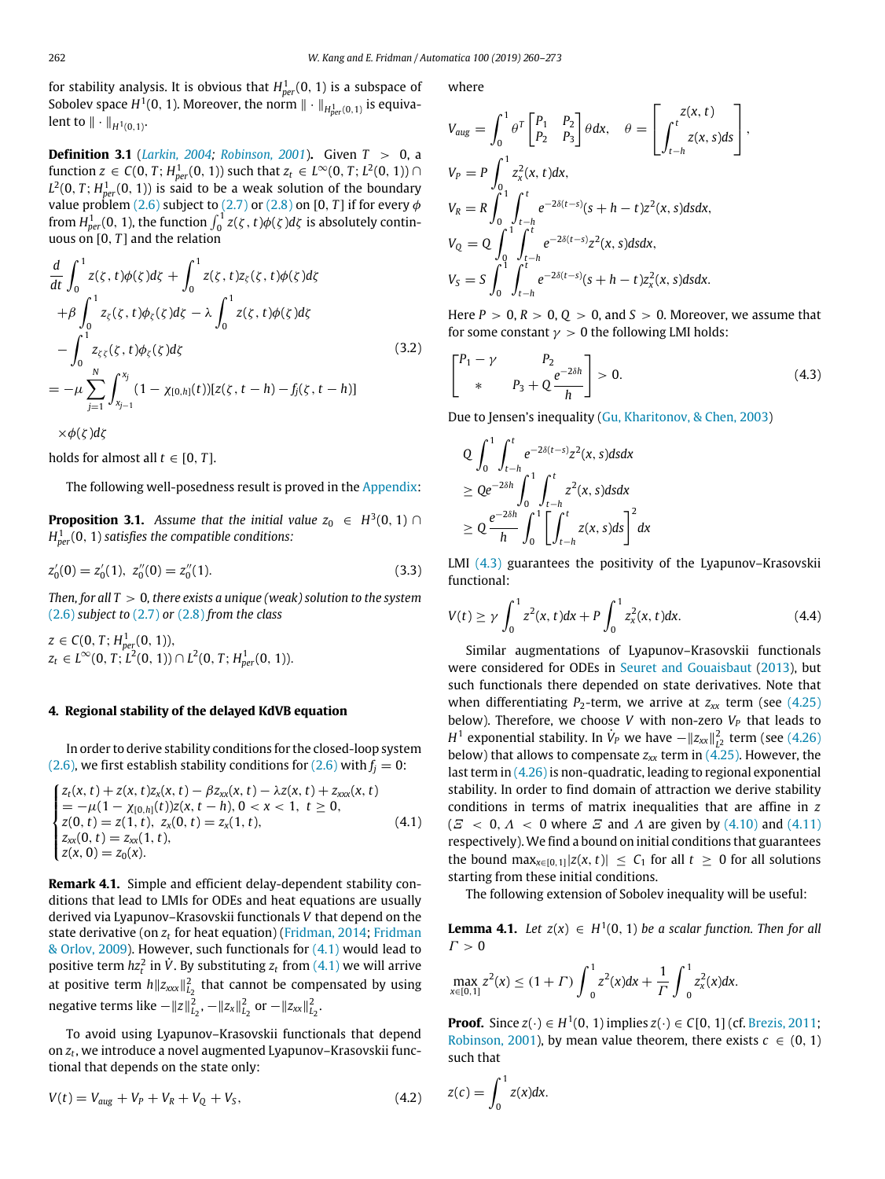for stability analysis. It is obvious that *H* 1 *per*(0, 1) is a subspace of Sobolev space  $H^1(0, 1)$ . Moreover, the norm  $\|\cdot\|_{H^1_{per}(0, 1)}$  is equivalent to  $\|\cdot\|_{H^1(0,1)}$ .

**Definition 3.1** (*Larkin, 2004; Robinson, 2001*)**.** Given *T* > 0, a function *z* ∈ *C*(0, *T*; *H*<sub>per</sub>(0, 1)) such that *z*<sub>*t*</sub> ∈ *L*<sup>∞</sup>(0, *T*; *L*<sup>2</sup>(0, 1)) ∩  $L^2(0,T; H^1_{per}(0,1))$  is said to be a weak solution of the boundary value problem (2.6) subject to (2.7) or (2.8) on [0, *T*] if for every  $\phi$ from  $H_{per}^1(0, 1)$ , the function  $\int_0^1 z(\zeta, t)\phi(\zeta) d\zeta$  is absolutely continuous on [0, *T* ] and the relation

$$
\frac{d}{dt} \int_0^1 z(\zeta, t) \phi(\zeta) d\zeta + \int_0^1 z(\zeta, t) z_\zeta(\zeta, t) \phi(\zeta) d\zeta \n+ \beta \int_0^1 z_\zeta(\zeta, t) \phi_\zeta(\zeta) d\zeta - \lambda \int_0^1 z(\zeta, t) \phi(\zeta) d\zeta \n- \int_0^1 z_{\zeta\xi}(\zeta, t) \phi_\zeta(\zeta) d\zeta \n= -\mu \sum_{j=1}^N \int_{x_{j-1}}^{x_j} (1 - \chi_{[0,h]}(t)) [z(\zeta, t - h) - f_j(\zeta, t - h)]
$$
\n(3.2)

×φ(ζ )*d*ζ

holds for almost all  $t \in [0, T]$ .

The following well-posedness result is proved in the Appendix:

**Proposition 3.1.** Assume that the initial value  $z_0 \in H^3(0, 1) \cap$ *H* 1 *per*(0, 1) *satisfies the compatible conditions:*

$$
z'_0(0) = z'_0(1), \ z''_0(0) = z''_0(1). \tag{3.3}
$$

*Then, for all T* > 0*, there exists a unique (weak) solution to the system* (2.6) *subject to* (2.7) *or* (2.8) *from the class*

 $z \in C(0, T; H^1_{per}(0, 1)),$  $z_t \in L^{\infty}(0, T; \overline{L^2}(0, 1)) \cap L^2(0, T; H^1_{per}(0, 1)).$ 

### **4. Regional stability of the delayed KdVB equation**

In order to derive stability conditions for the closed-loop system (2.6), we first establish stability conditions for (2.6) with  $f_i = 0$ :

$$
\begin{cases}\nz_t(x, t) + z(x, t)z_x(x, t) - \beta z_{xx}(x, t) - \lambda z(x, t) + z_{xxx}(x, t) \\
= -\mu(1 - \chi_{[0, h]}(t))z(x, t - h), 0 < x < 1, t \ge 0, \\
z(0, t) = z(1, t), z_x(0, t) = z_x(1, t), \\
z_{xx}(0, t) = z_{xx}(1, t), \\
z(x, 0) = z_0(x).\n\end{cases} \tag{4.1}
$$

**Remark 4.1.** Simple and efficient delay-dependent stability conditions that lead to LMIs for ODEs and heat equations are usually derived via Lyapunov–Krasovskii functionals *V* that depend on the state derivative (on  $z_t$  for heat equation) (Fridman, 2014; Fridman & Orlov, 2009). However, such functionals for  $(4.1)$  would lead to positive term  $hz_t^2$  in  $\dot{V}$ . By substituting  $z_t$  from  $(4.1)$  we will arrive at positive term *h*∥*zxxx*∥ 2 *L*2 that cannot be compensated by using  $\log_{10} \frac{1}{2}$  herms like  $-||z||_{L_2}^2$ ,  $-||z_x||_{L_2}^2$  or  $-||z_{xx}||_{L_2}^2$ .

To avoid using Lyapunov–Krasovskii functionals that depend on *z<sup>t</sup>* , we introduce a novel augmented Lyapunov–Krasovskii functional that depends on the state only:

$$
V(t) = V_{aug} + V_P + V_R + V_Q + V_S, \qquad (4.2)
$$

where

$$
V_{aug} = \int_0^1 \theta^T \begin{bmatrix} P_1 & P_2 \\ P_2 & P_3 \end{bmatrix} \theta dx, \quad \theta = \begin{bmatrix} z(x, t) \\ \int_{t-h}^t z(x, s) ds \end{bmatrix},
$$
  
\n
$$
V_P = P \int_0^1 z_x^2(x, t) dx,
$$
  
\n
$$
V_R = R \int_0^1 \int_{t-h}^t e^{-2\delta(t-s)} (s+h-t) z^2(x, s) ds dx,
$$
  
\n
$$
V_Q = Q \int_0^1 \int_{t-h}^t e^{-2\delta(t-s)} z^2(x, s) ds dx,
$$
  
\n
$$
V_S = S \int_0^1 \int_{t-h}^t e^{-2\delta(t-s)} (s+h-t) z_x^2(x, s) ds dx.
$$

Here  $P > 0$ ,  $R > 0$ ,  $Q > 0$ , and  $S > 0$ . Moreover, we assume that for some constant  $\gamma > 0$  the following LMI holds:

$$
\begin{bmatrix} P_1 - \gamma & P_2 \\ * & P_3 + Q \frac{e^{-2\delta h}}{h} \end{bmatrix} > 0. \tag{4.3}
$$

Due to Jensen's inequality (Gu, Kharitonov, & Chen, 2003)

$$
Q \int_0^1 \int_{t-h}^t e^{-2\delta(t-s)} z^2(x, s) ds dx
$$
  
\n
$$
\geq Q e^{-2\delta h} \int_0^1 \int_{t-h}^t z^2(x, s) ds dx
$$
  
\n
$$
\geq Q \frac{e^{-2\delta h}}{h} \int_0^1 \left[ \int_{t-h}^t z(x, s) ds \right]^2 dx
$$

LMI  $(4.3)$  guarantees the positivity of the Lyapunov–Krasovskii functional:

$$
V(t) \ge \gamma \int_0^1 z^2(x, t) dx + P \int_0^1 z_x^2(x, t) dx.
$$
 (4.4)

Similar augmentations of Lyapunov–Krasovskii functionals were considered for ODEs in Seuret and Gouaisbaut (2013), but such functionals there depended on state derivatives. Note that when differentiating  $P_2$ -term, we arrive at  $z_{xx}$  term (see (4.25) below). Therefore, we choose *V* with non-zero *V<sup>P</sup>* that leads to  $H^1$  exponential stability. In  $\dot{V}_P$  we have  $-\|z_{xx}\|_{L^2}^2$  term (see (4.26) below) that allows to compensate  $z_{xx}$  term in  $(4.25)$ . However, the last term in (4.26) is non-quadratic, leading to regional exponential stability. In order to find domain of attraction we derive stability conditions in terms of matrix inequalities that are affine in *z*  $(E < 0, \Lambda < 0$  where  $E$  and  $\Lambda$  are given by (4.10) and (4.11) respectively). We find a bound on initial conditions that guarantees the bound max<sub> $x \in [0,1]$ </sub> $|z(x, t)| \leq C_1$  for all  $t \geq 0$  for all solutions starting from these initial conditions.

The following extension of Sobolev inequality will be useful:

**Lemma 4.1.** *Let*  $z(x) \in H^1(0, 1)$  *be a scalar function. Then for all*  $\Gamma > 0$ 

$$
\max_{x\in[0,1]} z^2(x) \le (1+\Gamma) \int_0^1 z^2(x) dx + \frac{1}{\Gamma} \int_0^1 z_x^2(x) dx.
$$

**Proof.** Since *z*(⋅) ∈ *H*<sup>1</sup>(0, 1) implies *z*(⋅) ∈ *C*[0, 1] (cf. Brezis, 2011; Robinson, 2001), by mean value theorem, there exists  $c \in (0, 1)$ such that

$$
z(c) = \int_0^1 z(x) dx.
$$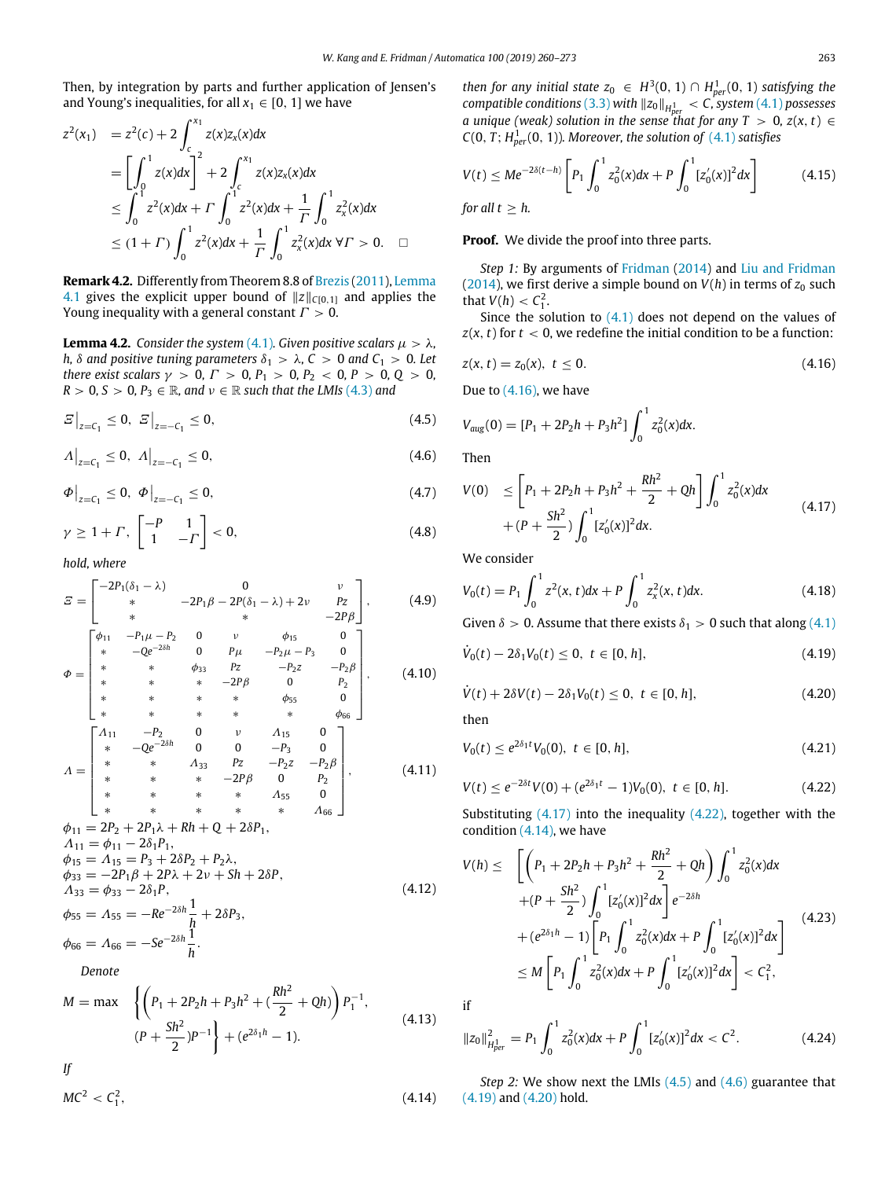Then, by integration by parts and further application of Jensen's and Young's inequalities, for all  $x_1 \in [0, 1]$  we have

$$
z^{2}(x_{1}) = z^{2}(c) + 2 \int_{c}^{x_{1}} z(x)z_{x}(x)dx
$$
  
\n
$$
= \left[\int_{0}^{1} z(x)dx\right]^{2} + 2 \int_{c}^{x_{1}} z(x)z_{x}(x)dx
$$
  
\n
$$
\leq \int_{0}^{1} z^{2}(x)dx + \Gamma \int_{0}^{1} z^{2}(x)dx + \frac{1}{\Gamma} \int_{0}^{1} z_{x}^{2}(x)dx
$$
  
\n
$$
\leq (1 + \Gamma) \int_{0}^{1} z^{2}(x)dx + \frac{1}{\Gamma} \int_{0}^{1} z_{x}^{2}(x)dx \forall \Gamma > 0. \quad \Box
$$

**Remark 4.2.** Differently from Theorem 8.8 of Brezis (2011), Lemma 4.1 gives the explicit upper bound of  $||z||_{C[0,1]}$  and applies the Young inequality with a general constant  $\Gamma > 0$ .

**Lemma 4.2.** *Consider the system* (4.1)*. Given positive scalars*  $\mu > \lambda$ *, h,*  $\delta$  *and positive tuning parameters*  $\delta_1$  >  $\lambda$ ,  $C$  > 0 *and*  $C_1$  > 0*. Let there exist scalars*  $\gamma > 0$ ,  $\Gamma > 0$ ,  $P_1 > 0$ ,  $P_2 < 0$ ,  $P > 0$ ,  $Q > 0$ ,  $R > 0$ ,  $S > 0$ ,  $P_3 \in \mathbb{R}$ , and  $\nu \in \mathbb{R}$  such that the LMIs (4.3) and

$$
E\big|_{z=C_1} \le 0, \ E\big|_{z=-C_1} \le 0,\tag{4.5}
$$

 $A\Big|_{z=C_1} \leq 0, \quad A\Big|_{z=-C_1} \leq 0,$  (4.6)

$$
\Phi\big|_{z=C_1} \le 0, \ \Phi\big|_{z=-C_1} \le 0, \tag{4.7}
$$

$$
\gamma \ge 1 + \Gamma, \begin{bmatrix} -P & 1 \\ 1 & -\Gamma \end{bmatrix} < 0,\tag{4.8}
$$

*hold, where*

$$
E = \begin{bmatrix} -2P_1(\delta_1 - \lambda) & 0 & \nu \\ \ast & -2P_1\beta - 2P(\delta_1 - \lambda) + 2\nu & P_Z \\ \ast & \ast & -2P_\beta \end{bmatrix}, \qquad (4.9)
$$
  
\n
$$
\Phi = \begin{bmatrix} \phi_{11} & -P_1\mu - P_2 & 0 & \nu & \phi_{15} & 0 \\ \ast & -Qe^{-2\delta h} & 0 & P\mu & -P_2\mu - P_3 & 0 \\ \ast & \ast & \phi_{33} & P_Z & -P_2Z & -P_2\beta \\ \ast & \ast & \ast & -2P\beta & 0 & P_2 \\ \ast & \ast & \ast & \ast & \phi_{55} & 0 \\ \ast & \ast & \ast & \ast & \ast & \phi_{66} \end{bmatrix}, \qquad (4.10)
$$
  
\n
$$
A = \begin{bmatrix} \Lambda_{11} & -P_2 & 0 & \nu & \Lambda_{15} & 0 \\ \ast & -Qe^{-2\delta h} & 0 & 0 & -P_3 & 0 \\ \ast & \ast & \Lambda_{33} & P_Z & -P_2Z & -P_2\beta \\ \ast & \ast & \ast & -2P\beta & 0 & P_2 \\ \ast & \ast & \ast & \ast & \Lambda_{55} & 0 \\ \ast & \ast & \ast & \ast & \Lambda_{66} \end{bmatrix}, \qquad (4.11)
$$
  
\n
$$
\phi_{11} = 2P_2 + 2P_1\lambda + Rh + Q + 2\delta P_1, \qquad A_{11} = \phi_{11} - 2\delta_1 P_1,
$$

$$
\begin{aligned}\n\phi_{15} &= A_{15} = P_3 + 2\delta P_2 + P_2 \lambda, \\
\phi_{23} &= -2P_1 \beta + 2P\lambda + 2\nu + Sh + 2\delta P, \\
A_{33} &= \phi_{33} - 2\delta_1 P, \\
\phi_{55} &= A_{55} = -Re^{-2\delta h} \frac{1}{h} + 2\delta P_3, \\
\phi_{65} &= \frac{1}{h} \frac{1}{h} + 2\delta P_3.\n\end{aligned}\n\tag{4.12}
$$

.

$$
\phi_{66} = \Lambda_{66} = -\text{Se}^{-2\delta h} \frac{1}{h}
$$
  
Denote

$$
M = \max \left\{ \left( P_1 + 2P_2h + P_3h^2 + \left( \frac{Rh^2}{2} + Qh \right) \right) P_1^{-1}, \left( P_1 + \frac{Sh^2}{2} \right) P^{-1} \right\} + \left( e^{2\delta_1 h} - 1 \right). \tag{4.13}
$$

*If*

$$
MC^2 < C_1^2,\tag{4.14}
$$

*then for any initial state*  $z_0 \in H^3(0, 1) \cap H^1_{per}(0, 1)$  *satisfying the compatible conditions* (3.3) *with*  $||z_0||_{H^1_{per}} < C$ , *system* (4.1) *possesses a unique (weak) solution in the sense that for any T* > 0,  $z(x, t) \in$  $C(0, T; H_{per}^1(0, 1))$ *. Moreover, the solution of*  $(4.1)$  *satisfies* 

$$
V(t) \le Me^{-2\delta(t-h)} \left[ P_1 \int_0^1 z_0^2(x) dx + P \int_0^1 [z'_0(x)]^2 dx \right]
$$
 (4.15)  
for all  $t \ge h$ .

**Proof.** We divide the proof into three parts.

*Step 1:* By arguments of Fridman (2014) and Liu and Fridman (2014), we first derive a simple bound on  $V(h)$  in terms of  $z_0$  such that  $V(h) < C_1^2$ .

Since the solution to  $(4.1)$  does not depend on the values of  $z(x, t)$  for  $t < 0$ , we redefine the initial condition to be a function:

$$
z(x, t) = z_0(x), \ t \le 0. \tag{4.16}
$$

Due to  $(4.16)$ , we have

$$
V_{aug}(0) = [P_1 + 2P_2h + P_3h^2] \int_0^1 z_0^2(x)dx.
$$
  
Then

$$
V(0) \leq \left[ P_1 + 2P_2h + P_3h^2 + \frac{Rh^2}{2} + Qh \right] \int_0^1 z_0^2(x) dx
$$
  
+ 
$$
(P + \frac{Sh^2}{2}) \int_0^1 [z_0'(x)]^2 dx.
$$
 (4.17)

We consider

$$
V_0(t) = P_1 \int_0^1 z^2(x, t) dx + P \int_0^1 z_x^2(x, t) dx.
$$
 (4.18)

Given  $\delta > 0$ . Assume that there exists  $\delta_1 > 0$  such that along (4.1)

$$
\dot{V}_0(t) - 2\delta_1 V_0(t) \le 0, \ t \in [0, h], \tag{4.19}
$$

$$
\dot{V}(t) + 2\delta V(t) - 2\delta_1 V_0(t) \le 0, \ t \in [0, h], \tag{4.20}
$$

then

$$
V_0(t) \le e^{2\delta_1 t} V_0(0), \ t \in [0, h], \tag{4.21}
$$

$$
V(t) \le e^{-2\delta t} V(0) + (e^{2\delta_1 t} - 1) V_0(0), \ t \in [0, h]. \tag{4.22}
$$

Substituting  $(4.17)$  into the inequality  $(4.22)$ , together with the condition (4.14), we have

$$
V(h) \leq \quad \left[ \left( P_1 + 2P_2h + P_3h^2 + \frac{Rh^2}{2} + Qh \right) \int_0^1 z_0^2(x) dx \right. \\ \left. + (P + \frac{Sh^2}{2}) \int_0^1 [z_0'(x)]^2 dx \right] e^{-2\delta h} \\ \left. + (e^{2\delta_1 h} - 1) \left[ P_1 \int_0^1 z_0^2(x) dx + P \int_0^1 [z_0'(x)]^2 dx \right] \right. \\ \leq M \left[ P_1 \int_0^1 z_0^2(x) dx + P \int_0^1 [z_0'(x)]^2 dx \right] < C_1^2,
$$

if

$$
||z_0||_{H_{per}^1}^2 = P_1 \int_0^1 z_0^2(x) dx + P \int_0^1 [z_0'(x)]^2 dx < C^2.
$$
 (4.24)

*Step 2:* We show next the LMIs (4.5) and (4.6) guarantee that (4.19) and (4.20) hold.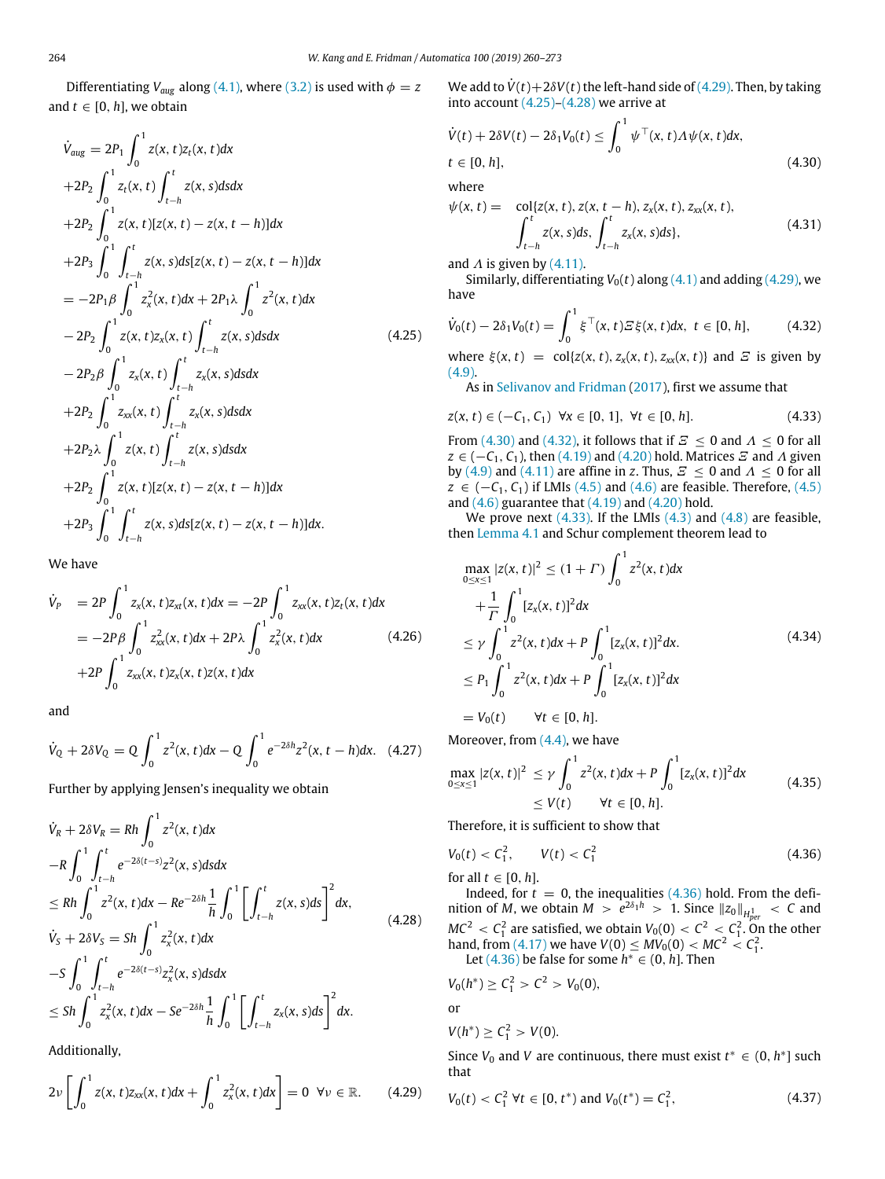Differentiating  $V_{aug}$  along (4.1), where (3.2) is used with  $\phi = z$ and  $t \in [0, h]$ , we obtain

$$
\dot{V}_{aug} = 2P_1 \int_0^1 z(x, t)z_t(x, t)dx \n+2P_2 \int_0^1 z_t(x, t) \int_{t-h}^t z(x, s)dsdx \n+2P_2 \int_0^1 z(x, t)[z(x, t) - z(x, t - h)]dx \n+2P_3 \int_0^1 \int_{t-h}^t z(x, s)ds[z(x, t) - z(x, t - h)]dx \n= -2P_1 \beta \int_0^1 z_x^2(x, t)dx + 2P_1 \lambda \int_0^1 z^2(x, t)dx \n- 2P_2 \int_0^1 z(x, t)z_x(x, t) \int_{t-h}^t z(x, s)dsdx \n+2P_2 \int_0^1 z_{xx}(x, t) \int_{t-h}^t z_x(x, s)dsdx \n+2P_2 \int_0^1 z_{xx}(x, t) \int_{t-h}^t z_x(x, s)dsdx \n+2P_2 \lambda \int_0^1 z(x, t) \int_{t-h}^t z(x, s)dsdx \n+2P_2 \int_0^1 z(x, t) [z(x, t) - z(x, t - h)]dx \n+2P_3 \int_0^1 \int_{t-h}^t z(x, s)ds[z(x, t) - z(x, t - h)]dx.
$$

We have

$$
\dot{V}_P = 2P \int_0^1 z_x(x, t) z_{xt}(x, t) dx = -2P \int_0^1 z_{xx}(x, t) z_t(x, t) dx \n= -2P \beta \int_0^1 z_{xx}^2(x, t) dx + 2P \lambda \int_0^1 z_x^2(x, t) dx \n+2P \int_0^1 z_{xx}(x, t) z_x(x, t) z(x, t) dx
$$
\n(4.26)

and

$$
\dot{V}_Q + 2\delta V_Q = Q \int_0^1 z^2(x, t) dx - Q \int_0^1 e^{-2\delta h} z^2(x, t - h) dx. \quad (4.27)
$$

Further by applying Jensen's inequality we obtain

$$
\dot{V}_{R} + 2\delta V_{R} = Rh \int_{0}^{1} z^{2}(x, t) dx
$$
\n
$$
-R \int_{0}^{1} \int_{t-h}^{t} e^{-2\delta(t-s)} z^{2}(x, s) ds dx
$$
\n
$$
\leq Rh \int_{0}^{1} z^{2}(x, t) dx - Re^{-2\delta h} \frac{1}{h} \int_{0}^{1} \left[ \int_{t-h}^{t} z(x, s) ds \right]^{2} dx,
$$
\n
$$
\dot{V}_{S} + 2\delta V_{S} = Sh \int_{0}^{1} z_{x}^{2}(x, t) dx
$$
\n
$$
-S \int_{0}^{1} \int_{t-h}^{t} e^{-2\delta(t-s)} z_{x}^{2}(x, s) ds dx
$$
\n
$$
\leq Sh \int_{0}^{1} z_{x}^{2}(x, t) dx - Se^{-2\delta h} \frac{1}{h} \int_{0}^{1} \left[ \int_{t-h}^{t} z_{x}(x, s) ds \right]^{2} dx.
$$
\n(4.28)

Additionally,

$$
2\nu\left[\int_0^1 z(x,t)z_{xx}(x,t)dx + \int_0^1 z_x^2(x,t)dx\right] = 0 \ \forall \nu \in \mathbb{R}.\tag{4.29}
$$

We add to  $\dot{V}(t) + 2\delta V(t)$  the left-hand side of (4.29). Then, by taking into account  $(4.25)-(4.28)$  we arrive at

∫ <sup>1</sup>

$$
\dot{V}(t) + 2\delta V(t) - 2\delta_1 V_0(t) \le \int_0^1 \psi^\top(x, t) \Lambda \psi(x, t) dx,
$$
  
\n
$$
t \in [0, h],
$$
\n(4.30)

where

$$
\psi(x, t) = \text{col}\{z(x, t), z(x, t-h), z_x(x, t), z_{xx}(x, t),
$$

$$
\int_{t-h}^{t} z(x, s)ds, \int_{t-h}^{t} z_x(x, s)ds\},
$$
(4.31)

and  $\Lambda$  is given by (4.11).

Similarly, differentiating  $V_0(t)$  along  $(4.1)$  and adding  $(4.29)$ , we have

$$
\dot{V}_0(t) - 2\delta_1 V_0(t) = \int_0^1 \xi^\top(x, t) \mathcal{E}\xi(x, t) dx, \ t \in [0, h], \qquad (4.32)
$$

where  $\xi(x, t) = \text{col}\lbrace z(x, t), z_x(x, t), z_{xx}(x, t) \rbrace$  and  $\Xi$  is given by  $(4.9)$ .

As in Selivanov and Fridman (2017), first we assume that

$$
z(x, t) \in (-C_1, C_1) \ \forall x \in [0, 1], \ \forall t \in [0, h]. \tag{4.33}
$$

From (4.30) and (4.32), it follows that if  $\mathcal{Z} \le 0$  and  $\Lambda \le 0$  for all  $z \in (-C_1, C_1)$ , then (4.19) and (4.20) hold. Matrices  $\mathcal E$  and  $\Lambda$  given by (4.9) and (4.11) are affine in *z*. Thus,  $E \le 0$  and  $\Lambda \le 0$  for all *z* ∈ (−*C*<sub>1</sub>, *C*<sub>1</sub>) if LMIs (4.5) and (4.6) are feasible. Therefore, (4.5) and  $(4.6)$  guarantee that  $(4.19)$  and  $(4.20)$  hold.

We prove next  $(4.33)$ . If the LMIs  $(4.3)$  and  $(4.8)$  are feasible, then Lemma 4.1 and Schur complement theorem lead to

$$
\max_{0 \le x \le 1} |z(x, t)|^2 \le (1 + \Gamma) \int_0^1 z^2(x, t) dx
$$
  
+  $\frac{1}{\Gamma} \int_0^1 [z_x(x, t)]^2 dx$   
 $\le \gamma \int_0^1 z^2(x, t) dx + P \int_0^1 [z_x(x, t)]^2 dx.$   
 $\le P_1 \int_0^1 z^2(x, t) dx + P \int_0^1 [z_x(x, t)]^2 dx$   
 $= V_0(t) \quad \forall t \in [0, h].$  (4.34)

Moreover, from (4.4), we have

$$
\max_{0 \le x \le 1} |z(x, t)|^2 \le \gamma \int_0^1 z^2(x, t) dx + P \int_0^1 [z_x(x, t)]^2 dx
$$
  
 
$$
\le V(t) \qquad \forall t \in [0, h]. \tag{4.35}
$$

Therefore, it is sufficient to show that

$$
V_0(t) < C_1^2, \qquad V(t) < C_1^2 \tag{4.36}
$$

for all  $t \in [0, h]$ .

Indeed, for  $t = 0$ , the inequalities  $(4.36)$  hold. From the definition of *M*, we obtain  $M > e^{2\delta_1 h} > 1$ . Since  $||z_0||_{H^1_{per}} < C$  and  $MC^2 \, < \, C_1^2$  are satisfied, we obtain  $V_0(0) \, < \, C^2 \, < \, C_1^2$ . On the other hand, from (4.17) we have  $V(0) \leq MV_0(0) < MC^2 < C_1^2$ .

Let  $(4.36)$  be false for some  $h^* \in (0, h]$ . Then

$$
V_0(h^*) \ge C_1^2 > C^2 > V_0(0),
$$

or

$$
V(h^*)\geq \mathcal{C}_1^2>V(0).
$$

Since  $V_0$  and  $V$  are continuous, there must exist  $t^* \in (0, h^*]$  such that

$$
V_0(t) < C_1^2 \, \forall t \in [0, t^*) \text{ and } V_0(t^*) = C_1^2,\tag{4.37}
$$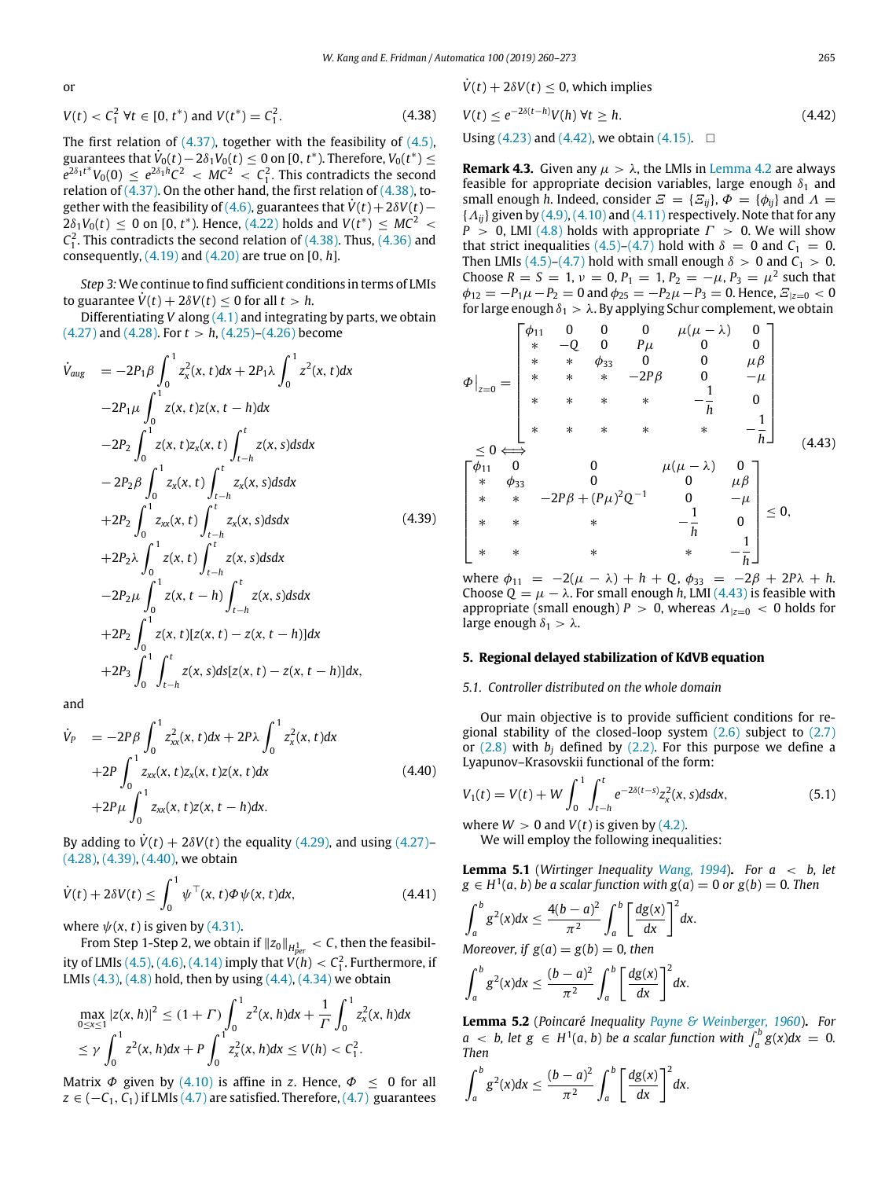or

$$
V(t) < C_1^2 \, \forall t \in [0, t^*) \text{ and } V(t^*) = C_1^2. \tag{4.38}
$$

The first relation of  $(4.37)$ , together with the feasibility of  $(4.5)$ , guarantees that  $\dot{V}_0(t)-2\delta_1V_0(t)\leq 0$  on [0,  $t^*$ ). Therefore,  $V_0(t^*)\leq$  $e^{2\delta_1 t^*} V_0(0) \leq e^{2\delta_1 h} C^2 < MC^2 < C_1^2$ . This contradicts the second relation of  $(4.37)$ . On the other hand, the first relation of  $(4.38)$ , together with the feasibility of (4.6), guarantees that  $\dot{V}(t) + 2\delta V(t) 2\delta_1 V_0(t) \leq 0$  on [0, *t*<sup>\*</sup>). Hence, (4.22) holds and  $V(t^*) \leq MC^2$  $C_1^2$ . This contradicts the second relation of  $(4.38)$ . Thus,  $(4.36)$  and consequently, (4.19) and (4.20) are true on [0, *h*].

*Step 3:*We continue to find sufficient conditions in terms of LMIs to guarantee  $V(t) + 2\delta V(t) \leq 0$  for all  $t > h$ .

Differentiating *V* along (4.1) and integrating by parts, we obtain  $(4.27)$  and  $(4.28)$ . For  $t > h$ ,  $(4.25)$ – $(4.26)$  become

$$
\dot{V}_{aug} = -2P_1 \beta \int_0^1 z_x^2(x, t) dx + 2P_1 \lambda \int_0^1 z^2(x, t) dx \n-2P_1 \mu \int_0^1 z(x, t) z(x, t - h) dx \n-2P_2 \int_0^1 z(x, t) z_x(x, t) \int_{t-h}^t z(x, s) ds dx \n-2P_2 \beta \int_0^1 z_x(x, t) \int_{t-h}^t z_x(x, s) ds dx \n+2P_2 \int_0^1 z_{xx}(x, t) \int_{t-h}^t z_x(x, s) ds dx \n+2P_2 \lambda \int_0^1 z(x, t) \int_{t-h}^t z(x, s) ds dx \n-2P_2 \mu \int_0^1 z(x, t - h) \int_{t-h}^t z(x, s) ds dx \n+2P_2 \int_0^1 z(x, t) [z(x, t) - z(x, t - h)] dx \n+2P_3 \int_0^1 \int_{t-h}^t z(x, s) ds [z(x, t) - z(x, t - h)] dx,
$$

and

$$
\dot{V}_{P} = -2P\beta \int_{0}^{1} z_{xx}^{2}(x, t)dx + 2P\lambda \int_{0}^{1} z_{x}^{2}(x, t)dx \n+2P \int_{0}^{1} z_{xx}(x, t)z_{x}(x, t)z(x, t)dx \n+2P\mu \int_{0}^{1} z_{xx}(x, t)z(x, t-h)dx.
$$
\n(4.40)

By adding to  $V(t) + 2\delta V(t)$  the equality (4.29), and using (4.27)– (4.28), (4.39), (4.40), we obtain

$$
\dot{V}(t) + 2\delta V(t) \le \int_0^1 \psi^\top(x, t)\Phi\psi(x, t)dx,
$$
\n(4.41)

where  $\psi(x, t)$  is given by (4.31).

From Step 1-Step 2, we obtain if  $\|z_0\|_{H^1_{per}} < C$ , then the feasibility of LMIs  $(4.5)$ ,  $(4.6)$ ,  $(4.14)$  imply that  $V(h) < C_1^2$ . Furthermore, if LMIs  $(4.3)$ ,  $(4.8)$  hold, then by using  $(4.4)$ ,  $(4.34)$  we obtain

$$
\max_{0 \le x \le 1} |z(x, h)|^2 \le (1 + \Gamma) \int_0^1 z^2(x, h) dx + \frac{1}{\Gamma} \int_0^1 z_x^2(x, h) dx
$$
  
\n
$$
\le \gamma \int_0^1 z^2(x, h) dx + P \int_0^1 z_x^2(x, h) dx \le V(h) < C_1^2.
$$

Matrix  $\Phi$  given by (4.10) is affine in *z*. Hence,  $\Phi \leq 0$  for all  $z \in (-C_1, C_1)$  if LMIs (4.7) are satisfied. Therefore, (4.7) guarantees  $V(t) + 2\delta V(t) < 0$ , which implies

$$
V(t) \le e^{-2\delta(t-h)}V(h) \,\forall t \ge h. \tag{4.42}
$$

Using (4.23) and (4.42), we obtain (4.15). □

**Remark 4.3.** Given any  $\mu > \lambda$ , the LMIs in Lemma 4.2 are always feasible for appropriate decision variables, large enough  $\delta_1$  and small enough *h*. Indeed, consider  $E = \{E_{ii}\}, \Phi = \{\phi_{ii}\}$  and  $\Lambda =$  ${A_{ii}}$  given by  $(4.9)$ ,  $(4.10)$  and  $(4.11)$  respectively. Note that for any *P* > 0, LMI (4.8) holds with appropriate  $\Gamma$  > 0. We will show that strict inequalities (4.5)–(4.7) hold with  $\delta = 0$  and  $C_1 = 0$ . Then LMIs  $(4.5)-(4.7)$  hold with small enough  $\delta > 0$  and  $C_1 > 0$ . Choose  $R = S = 1$ ,  $\nu = 0$ ,  $P_1 = 1$ ,  $P_2 = -\mu$ ,  $P_3 = \mu^2$  such that  $\phi_{12} = -P_1\mu - P_2 = 0$  and  $\phi_{25} = -P_2\mu - P_3 = 0$ . Hence,  $\Xi_{|z=0} < 0$ for large enough  $\delta_1 > \lambda$ . By applying Schur complement, we obtain

$$
\Phi\Big|_{z=0} = \begin{bmatrix}\n\phi_{11} & 0 & 0 & 0 & \mu(\mu - \lambda) & 0 \\
\ast & -Q & 0 & P\mu & 0 & 0 \\
\ast & \ast & \phi_{33} & 0 & 0 & \mu\beta \\
\ast & \ast & \ast & -2P\beta & 0 & -\mu \\
\ast & \ast & \ast & \ast & -\frac{1}{h} & 0 \\
\ast & \ast & \ast & \ast & \ast & -\frac{1}{h}\n\end{bmatrix}
$$
\n
$$
\leq 0 \iff
$$
\n
$$
\begin{bmatrix}\n\phi_{11} & 0 & 0 & \mu(\mu - \lambda) & 0 \\
\ast & \phi_{33} & 0 & 0 & \mu\beta \\
\ast & \ast & -2P\beta + (P\mu)^2 Q^{-1} & 0 & -\mu \\
\ast & \ast & \ast & -\frac{1}{h} & 0 \\
\ast & \ast & \ast & \ast & -\frac{1}{h}\n\end{bmatrix} \leq 0,
$$
\n(4.43)

where  $\phi_{11} = -2(\mu - \lambda) + h + Q$ ,  $\phi_{33} = -2\beta + 2P\lambda + h$ . Choose  $Q = \mu - \lambda$ . For small enough *h*, LMI (4.43) is feasible with appropriate (small enough)  $P > 0$ , whereas  $\Lambda_{|z=0} < 0$  holds for large enough  $\delta_1 > \lambda$ .

### **5. Regional delayed stabilization of KdVB equation**

#### *5.1. Controller distributed on the whole domain*

Our main objective is to provide sufficient conditions for regional stability of the closed-loop system (2.6) subject to (2.7) or  $(2.8)$  with  $b_i$  defined by  $(2.2)$ . For this purpose we define a Lyapunov–Krasovskii functional of the form:

$$
V_1(t) = V(t) + W \int_0^1 \int_{t-h}^t e^{-2\delta(t-s)} z_x^2(x, s) ds dx, \qquad (5.1)
$$

where  $W > 0$  and  $V(t)$  is given by (4.2).

We will employ the following inequalities:

**Lemma 5.1** (*Wirtinger Inequality Wang, 1994*)**.** *For a* < *b, let*  $g \in H^1(a, b)$  *be a scalar function with*  $g(a) = 0$  *or*  $g(b) = 0$ *. Then* 

$$
\int_a^b g^2(x)dx \le \frac{4(b-a)^2}{\pi^2} \int_a^b \left[\frac{dg(x)}{dx}\right]^2 dx.
$$
  
Moreover, if  $g(a) = g(b) = 0$ , then

$$
\int_a^b g^2(x)dx \leq \frac{(b-a)^2}{\pi^2} \int_a^b \left[\frac{dg(x)}{dx}\right]^2 dx.
$$

**Lemma 5.2** (*Poincaré Inequality Payne & Weinberger, 1960*)**.** *For*  $a \leq b$ , let  $g \in H^1(a, b)$  *be a scalar function with*  $\int_a^b g(x) dx = 0$ . *Then*

$$
\int_a^b g^2(x)dx \leq \frac{(b-a)^2}{\pi^2}\int_a^b \left[\frac{dg(x)}{dx}\right]^2 dx.
$$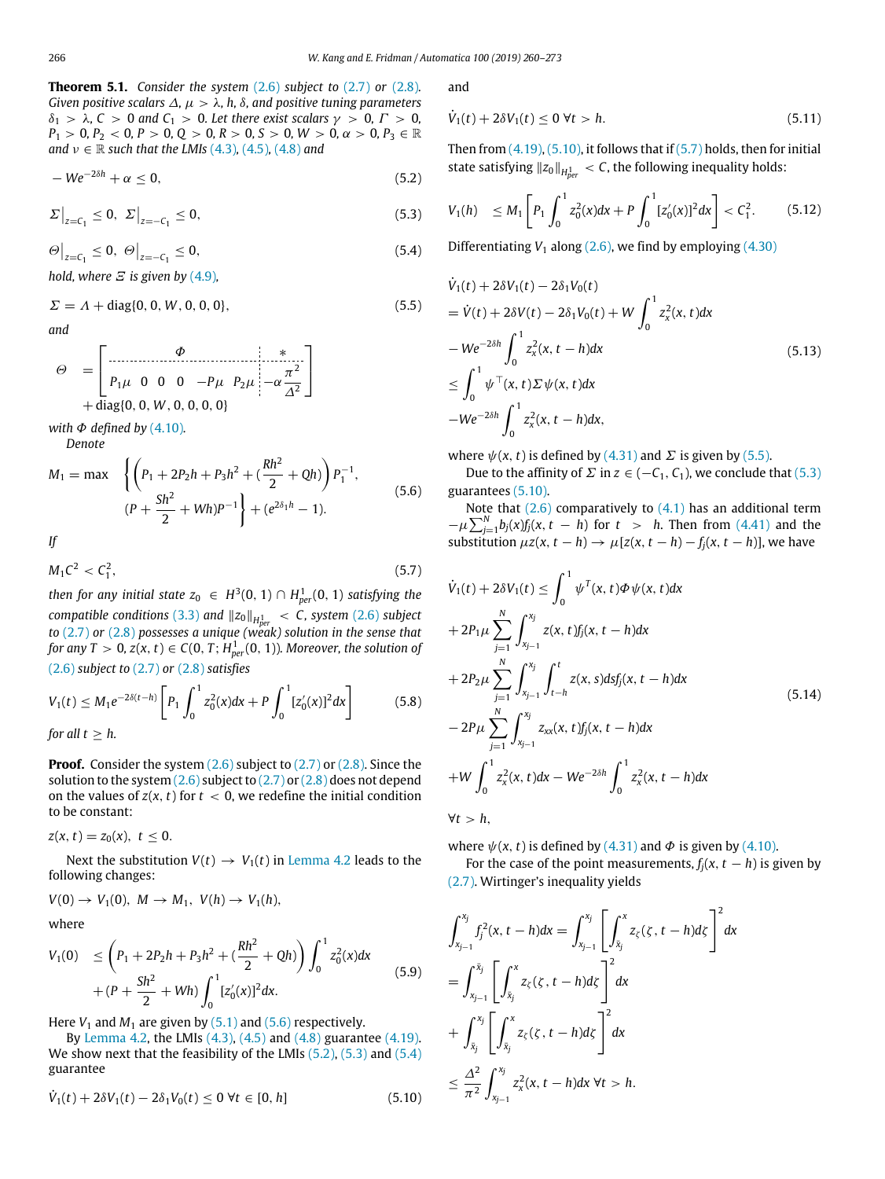**Theorem 5.1.** *Consider the system* (2.6) *subject to* (2.7) *or* (2.8)*. Given positive scalars*  $\Delta$ ,  $\mu > \lambda$ , h,  $\delta$ , and positive tuning parameters δ<sup>1</sup> > λ*, C* > 0 *and C*<sup>1</sup> > 0*. Let there exist scalars* γ > 0*,* Γ > 0*,*  $P_1 > 0, P_2 < 0, P > 0, Q > 0, R > 0, S > 0, W > 0, \alpha > 0, P_3 \in \mathbb{R}$ *and*  $v \in \mathbb{R}$  *such that the LMIs* (4.3)*,* (4.5)*,* (4.8*) and* 

$$
-We^{-2\delta h} + \alpha \leq 0, \tag{5.2}
$$

$$
\Sigma\big|_{z=C_1} \le 0, \ \Sigma\big|_{z=-C_1} \le 0,\tag{5.3}
$$

$$
\Theta\big|_{z=C_1} \le 0, \ \Theta\big|_{z=-C_1} \le 0,\tag{5.4}
$$

*hold, where*  $\Xi$  *is given by* (4.9),

$$
\Sigma = \Lambda + \text{diag}\{0, 0, W, 0, 0, 0\},\tag{5.5}
$$

*and*

$$
\Theta = \begin{bmatrix} \stackrel{\phi}{\vdots} & \stackrel{\phi}{\vdots} \\ P_1\mu & 0 & 0 & -P\mu & P_2\mu \\ + \text{diag}\{0, 0, W, 0, 0, 0, 0\} \end{bmatrix} \begin{bmatrix} * & * \\ -\alpha \frac{\pi^2}{\Delta^2} \end{bmatrix}
$$

*with*  $\Phi$  *defined by* (4.10)*.* 

*Denote*

$$
M_1 = \max \left\{ \left( P_1 + 2P_2h + P_3h^2 + \left( \frac{Rh^2}{2} + Qh \right) \right) P_1^{-1}, \left. (P + \frac{Sh^2}{2} + Wh)P^{-1} \right\} + \left( e^{2\delta_1 h} - 1 \right). \right\}
$$
(5.6)

*If*

$$
M_1 C^2 < C_1^2,\tag{5.7}
$$

then for any initial state  $z_0~\in~ H^3(0,1)\cap H_{per}^1(0,1)$  satisfying the *compatible conditions* (3.3) *and* ∥*z*0∥*<sup>H</sup>* 1 *per* < *C, system* (2.6) *subject to* (2.7) *or* (2.8) *possesses a unique (weak) solution in the sense that* for any  $T > 0$ ,  $z(x,t) \in \mathcal{C}(0,T;H^1_{per}(0,1))$ . Moreover, the solution of (2.6) *subject to* (2.7) *or* (2.8) *satisfies*

$$
V_1(t) \le M_1 e^{-2\delta(t-h)} \left[ P_1 \int_0^1 z_0^2(x) dx + P \int_0^1 [z'_0(x)]^2 dx \right]
$$
 (5.8)  
for all  $t \ge h$ .

**Proof.** Consider the system (2.6) subject to (2.7) or (2.8). Since the solution to the system  $(2.6)$  subject to  $(2.7)$  or  $(2.8)$  does not depend on the values of  $z(x, t)$  for  $t < 0$ , we redefine the initial condition to be constant:

 $z(x, t) = z_0(x), t \leq 0.$ 

Next the substitution  $V(t) \rightarrow V_1(t)$  in Lemma 4.2 leads to the following changes:

$$
V(0) \rightarrow V_1(0), M \rightarrow M_1, V(h) \rightarrow V_1(h),
$$

where

$$
V_1(0) \leq \left(P_1 + 2P_2h + P_3h^2 + \left(\frac{Rh^2}{2} + Qh\right)\right)\int_0^1 z_0^2(x)dx
$$
  
+ 
$$
\left(P + \frac{Sh^2}{2} + Wh\right)\int_0^1 [z_0'(x)]^2 dx.
$$
 (5.9)

Here  $V_1$  and  $M_1$  are given by (5.1) and (5.6) respectively.

By Lemma 4.2, the LMIs  $(4.3)$ ,  $(4.5)$  and  $(4.8)$  guarantee  $(4.19)$ . We show next that the feasibility of the LMIs (5.2), (5.3) and (5.4) guarantee

$$
\dot{V}_1(t) + 2\delta V_1(t) - 2\delta_1 V_0(t) \le 0 \ \forall t \in [0, h] \tag{5.10}
$$

and

$$
\dot{V}_1(t) + 2\delta V_1(t) \le 0 \ \forall t > h. \tag{5.11}
$$

Then from  $(4.19)$ ,  $(5.10)$ , it follows that if  $(5.7)$  holds, then for initial state satisfying  $||z_0||_{H^1_{per}} < C$ , the following inequality holds:

$$
V_1(h) \leq M_1 \left[ P_1 \int_0^1 z_0^2(x) dx + P \int_0^1 [z_0'(x)]^2 dx \right] < C_1^2. \tag{5.12}
$$

Differentiating  $V_1$  along  $(2.6)$ , we find by employing  $(4.30)$ 

$$
\dot{V}_1(t) + 2\delta V_1(t) - 2\delta_1 V_0(t)
$$
\n
$$
= \dot{V}(t) + 2\delta V(t) - 2\delta_1 V_0(t) + W \int_0^1 z_x^2(x, t) dx
$$
\n
$$
-We^{-2\delta h} \int_0^1 z_x^2(x, t - h) dx
$$
\n
$$
\leq \int_0^1 \psi^\top(x, t) \Sigma \psi(x, t) dx
$$
\n
$$
-We^{-2\delta h} \int_0^1 z_x^2(x, t - h) dx,
$$
\n(5.13)

where  $\psi(x, t)$  is defined by (4.31) and  $\Sigma$  is given by (5.5).

Due to the affinity of  $\Sigma$  in  $z$  ∈ (− $C_1$ ,  $C_1$ ), we conclude that (5.3) guarantees (5.10).

Note that  $(2.6)$  comparatively to  $(4.1)$  has an additional term  $-\mu \sum_{j=1}^{N} b_j(x) f_j(x,t-h)$  for  $t > h$ . Then from (4.41) and the substitution  $\mu z(x, t - h) \rightarrow \mu [z(x, t - h) - f_i(x, t - h)]$ , we have

$$
\dot{V}_{1}(t) + 2\delta V_{1}(t) \leq \int_{0}^{1} \psi^{T}(x, t) \Phi \psi(x, t) dx \n+ 2P_{1}\mu \sum_{j=1}^{N} \int_{x_{j-1}}^{x_{j}} z(x, t) f_{j}(x, t - h) dx \n+ 2P_{2}\mu \sum_{j=1}^{N} \int_{x_{j-1}}^{x_{j}} \int_{t-h}^{t} z(x, s) ds f_{j}(x, t - h) dx \n- 2P\mu \sum_{j=1}^{N} \int_{x_{j-1}}^{x_{j}} z_{xx}(x, t) f_{j}(x, t - h) dx \n+ W \int_{0}^{1} z_{x}^{2}(x, t) dx - W e^{-2\delta h} \int_{0}^{1} z_{x}^{2}(x, t - h) dx
$$
\n(5.14)

$$
\forall t > h,
$$

where  $\psi(x, t)$  is defined by (4.31) and  $\Phi$  is given by (4.10).

For the case of the point measurements,  $f_i(x, t - h)$  is given by (2.7). Wirtinger's inequality yields

$$
\int_{x_{j-1}}^{x_j} f_j^2(x, t - h) dx = \int_{x_{j-1}}^{x_j} \left[ \int_{\bar{x}_j}^{x} z_{\zeta}(\zeta, t - h) d\zeta \right]^2 dx
$$
  
= 
$$
\int_{x_{j-1}}^{\bar{x}_j} \left[ \int_{\bar{x}_j}^{x} z_{\zeta}(\zeta, t - h) d\zeta \right]^2 dx
$$
  
+ 
$$
\int_{\bar{x}_j}^{x_j} \left[ \int_{\bar{x}_j}^{x} z_{\zeta}(\zeta, t - h) d\zeta \right]^2 dx
$$
  

$$
\leq \frac{\Delta^2}{\pi^2} \int_{x_{j-1}}^{x_j} z_x^2(x, t - h) dx \ \forall t > h.
$$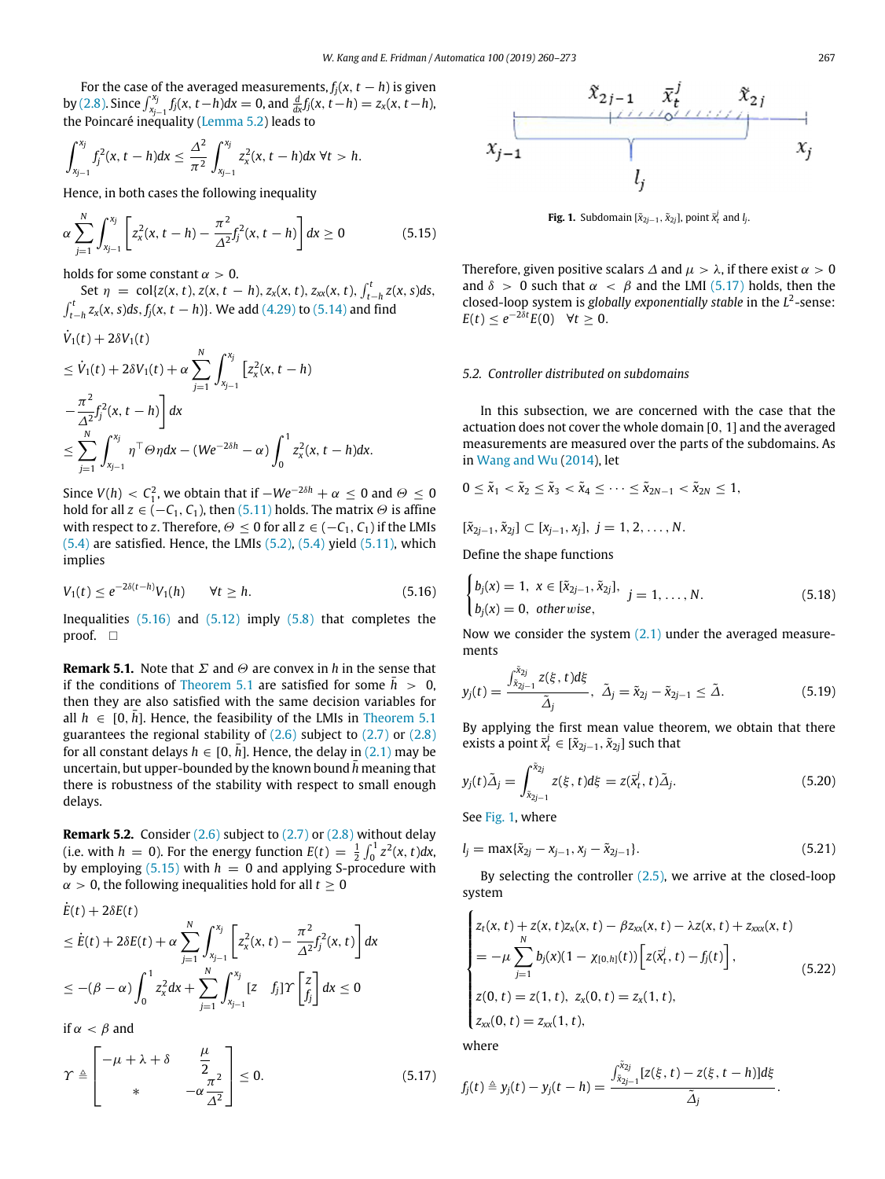For the case of the averaged measurements,  $f_j(x, t - h)$  is given by (2.8). Since  $\int_{x_{j-1}}^{x_j} f_j(x, t-h) dx = 0$ , and  $\frac{d}{dx} f_j(x, t-h) = z_x(x, t-h)$ , the Poincaré inequality (Lemma 5.2) leads to

$$
\int_{x_{j-1}}^{x_j} f_j^2(x, t-h) dx \leq \frac{\Delta^2}{\pi^2} \int_{x_{j-1}}^{x_j} z_x^2(x, t-h) dx \ \forall t > h.
$$

Hence, in both cases the following inequality

$$
\alpha \sum_{j=1}^{N} \int_{x_{j-1}}^{x_j} \left[ z_x^2(x, t-h) - \frac{\pi^2}{\Delta^2} f_j^2(x, t-h) \right] dx \ge 0 \tag{5.15}
$$

holds for some constant  $\alpha > 0$ .

Set  $\eta = \text{col}\{z(x, t), z(x, t - h), z_x(x, t), z_{xx}(x, t), \int_{t-h}^t z(x, s)ds,$  $\int_{t-h}^{t} z_x(x, s) ds$ ,  $f_j(x, t-h)$ }. We add (4.29) to (5.14) and find

$$
\dot{V}_1(t) + 2\delta V_1(t)
$$
\n
$$
\leq \dot{V}_1(t) + 2\delta V_1(t) + \alpha \sum_{j=1}^N \int_{x_{j-1}}^{x_j} \left[ z_x^2(x, t - h) - \frac{\pi^2}{\Delta^2} f_j^2(x, t - h) \right] dx
$$
\n
$$
\leq \sum_{j=1}^N \int_{x_{j-1}}^{x_j} \eta^\top \Theta \eta dx - (We^{-2\delta h} - \alpha) \int_0^1 z_x^2(x, t - h) dx.
$$

Since  $V(h) < C_1^2$ , we obtain that if  $-We^{-2\delta h} + \alpha \leq 0$  and  $\Theta \leq 0$ hold for all  $z \in (-C_1, C_1)$ , then (5.11) holds. The matrix  $\Theta$  is affine with respect to *z*. Therefore,  $\Theta \leq 0$  for all  $z \in (-C_1, C_1)$  if the LMIs  $(5.4)$  are satisfied. Hence, the LMIs  $(5.2)$ ,  $(5.4)$  yield  $(5.11)$ , which implies

$$
V_1(t) \le e^{-2\delta(t-h)} V_1(h) \qquad \forall t \ge h. \tag{5.16}
$$

Inequalities  $(5.16)$  and  $(5.12)$  imply  $(5.8)$  that completes the proof.  $\square$ 

**Remark 5.1.** Note that Σ and Θ are convex in *h* in the sense that if the conditions of Theorem 5.1 are satisfied for some  $\bar{h} > 0$ , then they are also satisfied with the same decision variables for all  $h \in [0, \bar{h}]$ . Hence, the feasibility of the LMIs in Theorem 5.1 guarantees the regional stability of  $(2.6)$  subject to  $(2.7)$  or  $(2.8)$ for all constant delays  $h \in [0, \bar{h}]$ . Hence, the delay in (2.1) may be uncertain, but upper-bounded by the known bound  $\bar{h}$  meaning that there is robustness of the stability with respect to small enough delays.

**Remark 5.2.** Consider (2.6) subject to (2.7) or (2.8) without delay (i.e. with *h* = 0). For the energy function  $E(t) = \frac{1}{2} \int_0^1 z^2(x, t) dx$ , by employing  $(5.15)$  with  $h = 0$  and applying S-procedure with  $\alpha > 0$ , the following inequalities hold for all  $t > 0$ 

$$
\dot{E}(t) + 2\delta E(t) \n\leq \dot{E}(t) + 2\delta E(t) + \alpha \sum_{j=1}^{N} \int_{x_{j-1}}^{x_j} \left[ z_x^2(x, t) - \frac{\pi^2}{\Delta^2} f_j^2(x, t) \right] dx \n\leq -(\beta - \alpha) \int_0^1 z_x^2 dx + \sum_{j=1}^{N} \int_{x_{j-1}}^{x_j} [z \quad f_j] \Upsilon \left[ \frac{z}{f_j} \right] dx \leq 0
$$

if  $\alpha < \beta$  and

$$
\Upsilon \triangleq \begin{bmatrix} -\mu + \lambda + \delta & \frac{\mu}{2} \\ * & -\alpha \frac{\pi^2}{\Delta^2} \end{bmatrix} \leq 0.
$$
 (5.17)



**Fig. 1.** Subdomain  $[\tilde{x}_{2j-1}, \tilde{x}_{2j}]$ , point  $\bar{x}_t^j$  and  $l_j$ .

Therefore, given positive scalars  $\Delta$  and  $\mu > \lambda$ , if there exist  $\alpha > 0$ and  $\delta > 0$  such that  $\alpha < \beta$  and the LMI (5.17) holds, then the closed-loop system is *globally exponentially stable* in the *L* 2 -sense:  $E(t) \leq e^{-2\delta t} E(0) \quad \forall t \geq 0.$ 

### *5.2. Controller distributed on subdomains*

In this subsection, we are concerned with the case that the actuation does not cover the whole domain [0, 1] and the averaged measurements are measured over the parts of the subdomains. As in Wang and Wu (2014), let

$$
0\leq \tilde{x}_1<\tilde{x}_2\leq \tilde{x}_3<\tilde{x}_4\leq \cdots \leq \tilde{x}_{2N-1}<\tilde{x}_{2N}\leq 1,
$$

 $[\tilde{x}_{2i-1}, \tilde{x}_{2i}] \subset [x_{i-1}, x_i], j = 1, 2, \ldots, N.$ 

Define the shape functions

$$
\begin{cases}\nb_j(x) = 1, \ x \in [\tilde{x}_{2j-1}, \tilde{x}_{2j}], \\
b_j(x) = 0, \ \text{otherwise,} \n\end{cases} \quad j = 1, \dots, N.
$$
\n(5.18)

Now we consider the system  $(2.1)$  under the averaged measurements

$$
y_j(t) = \frac{\int_{\tilde{x}_{2j-1}}^{\tilde{x}_{2j}} z(\xi, t) d\xi}{\tilde{\Delta}_j}, \ \tilde{\Delta}_j = \tilde{x}_{2j} - \tilde{x}_{2j-1} \le \tilde{\Delta}.
$$
 (5.19)

By applying the first mean value theorem, we obtain that there exists a point  $\bar{x}_t^j \in [\tilde{x}_{2j-1}, \tilde{x}_{2j}]$  such that

$$
y_j(t)\tilde{\Delta}_j = \int_{\tilde{x}_{2j-1}}^{\tilde{x}_{2j}} z(\xi, t) d\xi = z(\tilde{x}_t^j, t)\tilde{\Delta}_j.
$$
 (5.20)

See Fig. 1, where

$$
l_j = \max{\{\tilde{x}_{2j} - x_{j-1}, x_j - \tilde{x}_{2j-1}\}}.
$$
\n(5.21)

By selecting the controller  $(2.5)$ , we arrive at the closed-loop system

$$
\begin{cases}\nz_t(x, t) + z(x, t)z_x(x, t) - \beta z_{xx}(x, t) - \lambda z(x, t) + z_{xxx}(x, t) \\
= -\mu \sum_{j=1}^N b_j(x)(1 - \chi_{[0, h]}(t)) \Big[ z(\bar{x}_t^j, t) - f_j(t) \Big], \\
z(0, t) = z(1, t), \ z_x(0, t) = z_x(1, t), \\
z_{xx}(0, t) = z_{xx}(1, t), \\
\text{where}\n\end{cases} \tag{5.22}
$$

.

where

$$
f_j(t) \triangleq y_j(t) - y_j(t-h) = \frac{\int_{\tilde{x}_{2j-1}}^{\tilde{x}_{2j}} [z(\xi, t) - z(\xi, t-h)]d\xi}{\tilde{\Delta}_j}
$$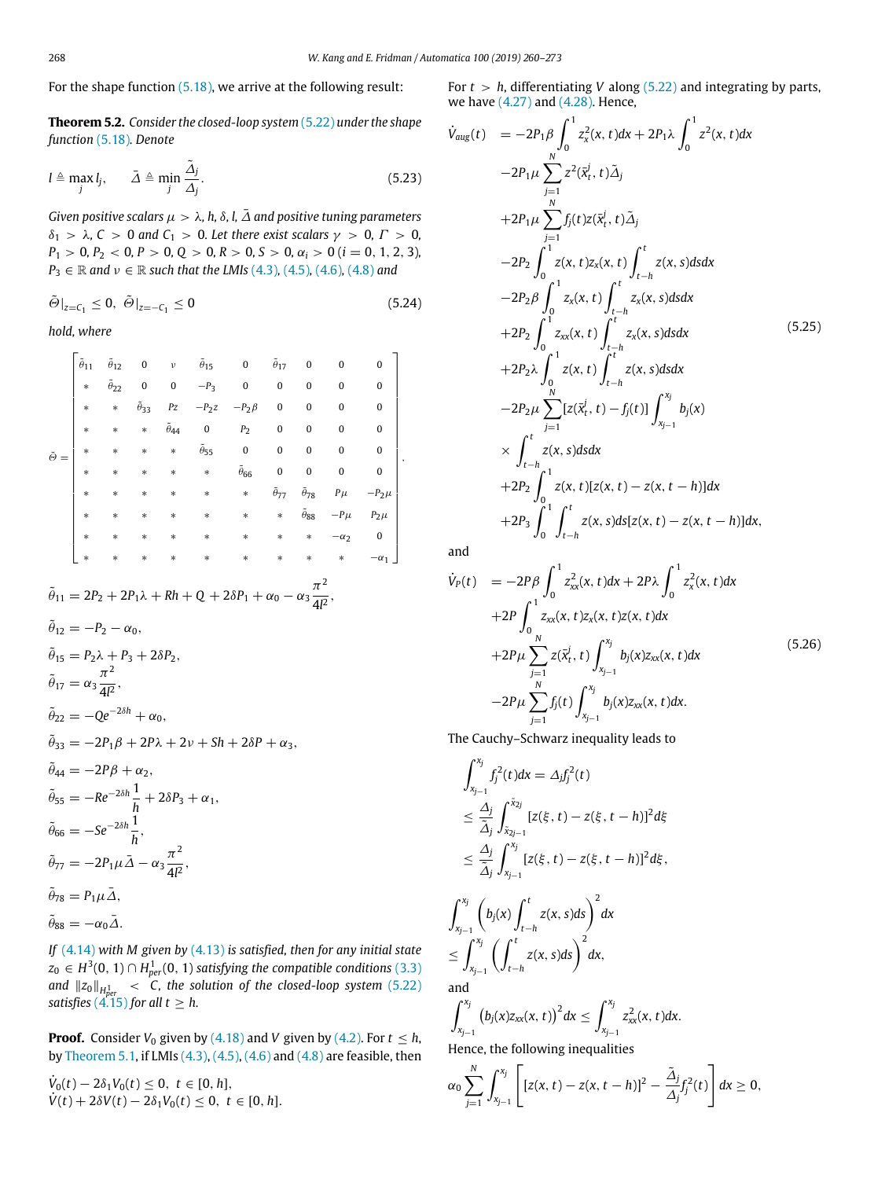For the shape function (5.18), we arrive at the following result:

**Theorem 5.2.** *Consider the closed-loop system* (5.22) *under the shape function* (5.18)*. Denote*

$$
l \triangleq \max_{j} l_{j}, \qquad \bar{\Delta} \triangleq \min_{j} \frac{\tilde{\Delta}_{j}}{\Delta_{j}}.
$$
 (5.23)

*Given positive scalars*  $\mu > \lambda$ , h,  $\delta$ , l,  $\bar{\Delta}$  *and positive tuning parameters* δ<sup>1</sup> > λ*, C* > 0 *and C*<sup>1</sup> > 0*. Let there exist scalars* γ > 0*,* Γ > 0*,*  $P_1 > 0, P_2 < 0, P > 0, Q > 0, R > 0, S > 0, \alpha_i > 0$  (*i* = 0, 1, 2, 3)*,*  $P_3 \in \mathbb{R}$  *and*  $\nu \in \mathbb{R}$  *such that the LMIs* (4.3)*,* (4.5)*,* (4.6)*,* (4.8*) and* 

$$
\tilde{\Theta}|_{z=C_1}\leq 0,\ \tilde{\Theta}|_{z=-C_1}\leq 0 \qquad \qquad (5.24)
$$

*hold, where*

|  | $\tilde{\theta}_{11}$ | $\tilde{\theta}_{12}$ $=$ $0$ |                       | $\mathcal{V}$         | $\tilde{\theta}_{15}$ | $\mathbf{0}$          | $\tilde{\theta}_{17}$ | 0                     | 0                | 0            |  |
|--|-----------------------|-------------------------------|-----------------------|-----------------------|-----------------------|-----------------------|-----------------------|-----------------------|------------------|--------------|--|
|  | $\ast$                | $\tilde{\theta}_{22}$         | $\bf{0}$              | $\pmb{0}$             | $-P_3$                | $\boldsymbol{0}$      | $\pmb{0}$             | $\bf{0}$              | $\bf{0}$         | $\mathbf{0}$ |  |
|  | $\ast$                | $\ast$                        | $\tilde{\theta}_{33}$ | $P\boldsymbol{z}$     | $-P_2z$               | $-P_2\beta$           | $\bf{0}$              | $\mathbf{0}$          | $\bf{0}$         | $\mathbf{0}$ |  |
|  | $\ast$                | $\ast$                        | $\ast$                | $\tilde{\theta}_{44}$ | $\overline{0}$        | P <sub>2</sub>        | $\pmb{0}$             | $\bf{0}$              | $\boldsymbol{0}$ | $\mathbf{0}$ |  |
|  | $\ast$                | $\ast$                        | $\ast$                | $\ast$                | $\tilde{\theta}_{55}$ | $\overline{0}$        | $\mathbf{0}$          | $\mathbf{0}$          | $\boldsymbol{0}$ | $\mathbf{0}$ |  |
|  | $\ast$                | $\ast$                        | $\ast$                | $\ast$                | $\ast$                | $\tilde{\theta}_{66}$ | $\bf{0}$              | $\bf{0}$              | $\pmb{0}$        | $\Omega$     |  |
|  | $\ast$                | $\ast$                        | $\ast$                | $\ast$                | $\ast$                | $\ast$                | $\tilde{\theta}_{77}$ | $\tilde{\theta}_{78}$ | $P\mu$           | $-P_2\mu$    |  |
|  | $\ast$                | $\ast$                        | $\ast$                | $\ast$                | $\ast$                | $\ast$                | $\ast$                | $\tilde{\theta}_{88}$ | $-P\mu$          | $P_2\mu$     |  |
|  | $\ast$                | $\ast$                        | $\ast$                | $\ast$                | $\ast$                | $\ast$                | $\ast$                | $\ast$                | $-\alpha_2$      | 0            |  |
|  | $\ast$                | $\ast$                        | $\ast$                | $\ast$                | $\ast$                | $\ast$                | $\ast$                | $\ast$                | $\ast$           | $-\alpha_1$  |  |

$$
\tilde{\theta}_{11} = 2P_2 + 2P_1\lambda + Rh + Q + 2\delta P_1 + \alpha_0 - \alpha_3 \frac{\pi^2}{4l^2},
$$

$$
\tilde{\theta}_{12} = -P_2 - \alpha_0,
$$
  
\n
$$
\tilde{\theta}_{15} = P_2 \lambda + P_3 + 2\delta P_2,
$$
  
\n
$$
\tilde{\theta}_{17} = \alpha_3 \frac{\pi^2}{4l^2},
$$
  
\n
$$
\tilde{\theta}_{22} = -Qe^{-2\delta h} + \alpha_0,
$$
  
\n
$$
\tilde{\theta}_{33} = -2P_1 \beta + 2P\lambda + 2\nu + Sh + 2\delta P + \alpha_3,
$$
  
\n
$$
\tilde{\theta}_{44} = -2P\beta + \alpha_2,
$$
  
\n
$$
\tilde{\theta}_{55} = -Re^{-2\delta h} \frac{1}{h} + 2\delta P_3 + \alpha_1,
$$
  
\n
$$
\tilde{\theta}_{66} = -Se^{-2\delta h} \frac{1}{h},
$$
  
\n
$$
\tilde{\theta}_{77} = -2P_1 \mu \tilde{\Delta} - \alpha_3 \frac{\pi^2}{4l^2},
$$
  
\n
$$
\tilde{\theta}_{78} = P_1 \mu \tilde{\Delta},
$$
  
\n
$$
\tilde{\theta}_{88} = -\alpha_0 \tilde{\Delta}.
$$

*If* (4.14) *with M given by* (4.13) *is satisfied, then for any initial state*  $z_0 \in H^3(0,1) \cap H^1_{per}(0,1)$  satisfying the compatible conditions  $(3.3)$ *and*  $||z_0||_{H^1_{per}}$  < *C*, the solution of the closed-loop system (5.22) *satisfies*  $(4.15)$  *for all t*  $\geq h$ *.* 

**Proof.** Consider  $V_0$  given by (4.18) and *V* given by (4.2). For  $t \leq h$ , by Theorem 5.1, if LMIs (4.3), (4.5), (4.6) and (4.8) are feasible, then

 $\dot{V}_0(t) - 2\delta_1 V_0(t)$  ≤ 0, *t* ∈ [0, *h*],  $V(t) + 2\delta V(t) - 2\delta_1 V_0(t) \leq 0, t \in [0, h].$  For  $t > h$ , differentiating *V* along (5.22) and integrating by parts, we have (4.27) and (4.28). Hence,

$$
\dot{V}_{aug}(t) = -2P_{1}\beta \int_{0}^{1} z_{x}^{2}(x, t)dx + 2P_{1}\lambda \int_{0}^{1} z^{2}(x, t)dx \n-2P_{1}\mu \sum_{j=1}^{N} z^{2}(\bar{x}_{t}^{j}, t)\tilde{\Delta}_{j} \n+2P_{1}\mu \sum_{j=1}^{N} f_{j}(t)z(\bar{x}_{t}^{j}, t)\tilde{\Delta}_{j} \n-2P_{2} \int_{0}^{1} z(x, t)z_{x}(x, t) \int_{t-h}^{t} z(x, s)dsdx \n-2P_{2}\beta \int_{0}^{1} z_{x}(x, t) \int_{t-h}^{t} z_{x}(x, s)dsdx \n+2P_{2} \int_{0}^{1} z_{xx}(x, t) \int_{t-h}^{t} z_{x}(x, s)dsdx
$$
\n(5.25)  
\n+2P\_{2}\lambda \int\_{0}^{1} z(x, t) \int\_{t-h}^{t} z(x, s)dsdx   
\n-2P\_{2}\mu \sum\_{j=1}^{N} [z(\bar{x}\_{t}^{j}, t) - f\_{j}(t)] \int\_{x\_{j-1}}^{x\_{j}} b\_{j}(x)   
\n\times \int\_{t-h}^{t} z(x, s)dsdx   
\n+2P\_{2} \int\_{0}^{1} z(x, t)[z(x, t) - z(x, t-h)]dx   
\n+2P\_{3} \int\_{0}^{1} \int\_{t-h}^{t} z(x, s)ds[z(x, t) - z(x, t-h)]dx

and

$$
\dot{V}_{P}(t) = -2P\beta \int_{0}^{1} z_{xx}^{2}(x, t)dx + 2P\lambda \int_{0}^{1} z_{x}^{2}(x, t)dx \n+2P \int_{0}^{1} z_{xx}(x, t)z_{x}(x, t)z(x, t)dx \n+2P\mu \sum_{j=1}^{N} z(\bar{x}_{t}^{j}, t) \int_{x_{j-1}}^{x_{j}} b_{j}(x)z_{xx}(x, t)dx \n-2P\mu \sum_{j=1}^{N} f_{j}(t) \int_{x_{j-1}}^{x_{j}} b_{j}(x)z_{xx}(x, t)dx.
$$
\n(5.26)

The Cauchy–Schwarz inequality leads to

$$
\int_{x_{j-1}}^{x_j} f_j^2(t) dx = \Delta_j f_j^2(t)
$$
  
\n
$$
\leq \frac{\Delta_j}{\tilde{\Delta}_j} \int_{\tilde{x}_{2j-1}}^{\tilde{x}_{2j}} [z(\xi, t) - z(\xi, t - h)]^2 d\xi
$$
  
\n
$$
\leq \frac{\Delta_j}{\tilde{\Delta}_j} \int_{x_{j-1}}^{x_j} [z(\xi, t) - z(\xi, t - h)]^2 d\xi,
$$

$$
\int_{x_{j-1}}^{x_j} \left( b_j(x) \int_{t-h}^t z(x, s) ds \right)^2 dx
$$
  
\n
$$
\leq \int_{x_{j-1}}^{x_j} \left( \int_{t-h}^t z(x, s) ds \right)^2 dx,
$$
  
\nand

and 
$$
\int_{\gamma x_i}
$$

$$
\int_{x_{j-1}}^{x_j} (b_j(x)z_{xx}(x,t))^2 dx \leq \int_{x_{j-1}}^{x_j} z_{xx}^2(x,t) dx.
$$

Hence, the following inequalities

$$
\alpha_0 \sum_{j=1}^N \int_{x_{j-1}}^{x_j} \left[ [z(x, t) - z(x, t-h)]^2 - \frac{\tilde{\Delta}_j}{\Delta_j} f_j^2(t) \right] dx \ge 0,
$$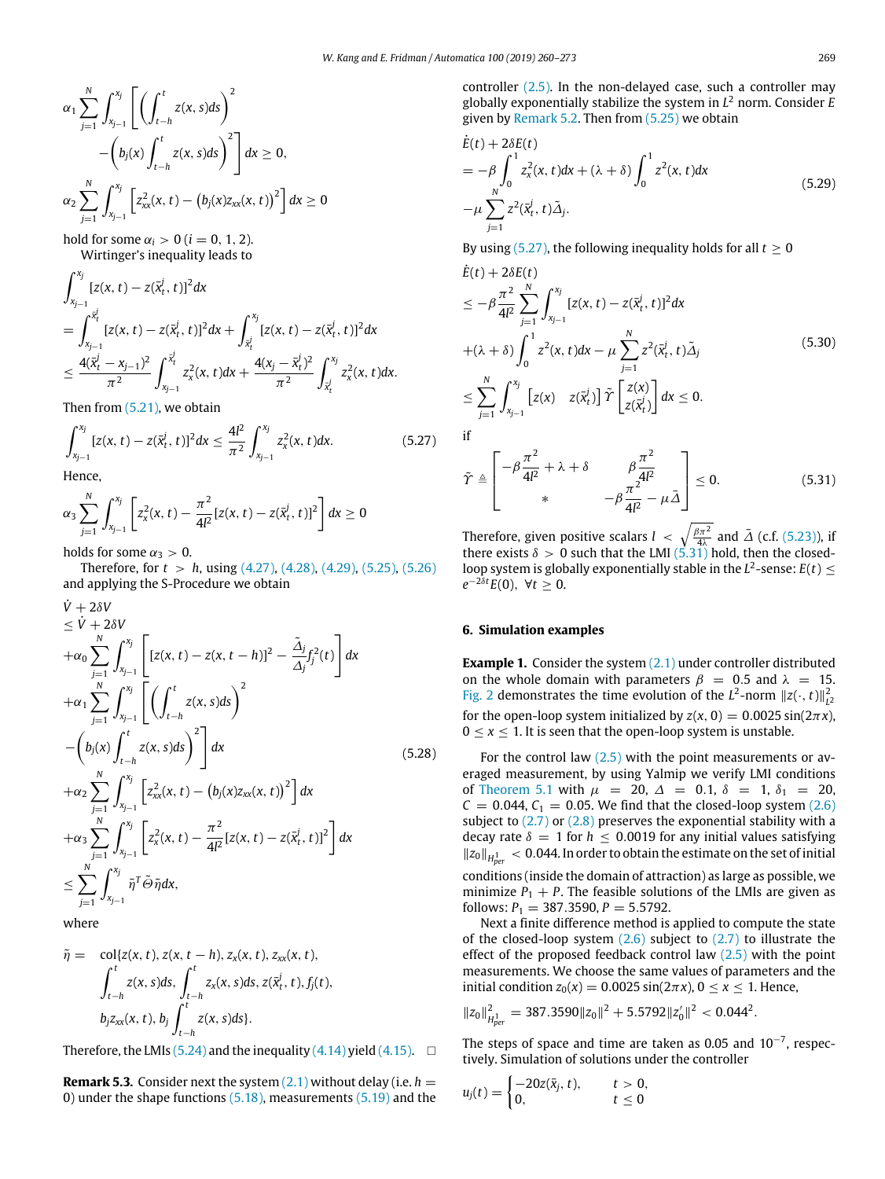$$
\alpha_1 \sum_{j=1}^N \int_{x_{j-1}}^{x_j} \left[ \left( \int_{t-h}^t z(x, s) ds \right)^2 - \left( b_j(x) \int_{t-h}^t z(x, s) ds \right)^2 \right] dx \ge 0,
$$
  

$$
\alpha_2 \sum_{j=1}^N \int_{x_{j-1}}^{x_j} \left[ z_{xx}^2(x, t) - \left( b_j(x) z_{xx}(x, t) \right)^2 \right] dx \ge 0
$$

hold for some  $\alpha_i > 0$  ( $i = 0, 1, 2$ ). Wirtinger's inequality leads to

$$
\int_{x_{j-1}}^{x_j} [z(x, t) - z(\bar{x}_t^j, t)]^2 dx
$$
\n
$$
= \int_{x_{j-1}}^{\bar{x}_t^j} [z(x, t) - z(\bar{x}_t^j, t)]^2 dx + \int_{\bar{x}_t^j}^{x_j} [z(x, t) - z(\bar{x}_t^j, t)]^2 dx
$$
\n
$$
\leq \frac{4(\bar{x}_t^j - x_{j-1})^2}{\pi^2} \int_{x_{j-1}}^{\bar{x}_t^j} z_x^2(x, t) dx + \frac{4(x_j - \bar{x}_t^j)^2}{\pi^2} \int_{\bar{x}_t^j}^{x_j} z_x^2(x, t) dx.
$$

Then from (5.21), we obtain

$$
\int_{x_{j-1}}^{x_j} [z(x, t) - z(\bar{x}_t^j, t)]^2 dx \le \frac{4l^2}{\pi^2} \int_{x_{j-1}}^{x_j} z_x^2(x, t) dx.
$$
 (5.27)

Hence,

*V*<sup>\*</sup> 2*δV*<sup>1</sup>

$$
\alpha_3 \sum_{j=1}^N \int_{x_{j-1}}^{x_j} \left[ z_x^2(x,t) - \frac{\pi^2}{4l^2} [z(x,t) - z(\bar{x}_t^j,t)]^2 \right] dx \ge 0
$$

holds for some  $\alpha_3 > 0$ .

Therefore, for *t* > *h*, using (4.27), (4.28), (4.29), (5.25), (5.26) and applying the S-Procedure we obtain

$$
\begin{split}\n&\leq \dot{V} + 2\delta V \\
&\leq \dot{V} + 2\delta V \\
&+ \alpha_0 \sum_{j=1}^N \int_{x_{j-1}}^{x_j} \left[ [z(x, t) - z(x, t - h)]^2 - \frac{\tilde{\Delta}_j}{\Delta_j} f_j^2(t) \right] dx \\
&+ \alpha_1 \sum_{j=1}^N \int_{x_{j-1}}^{x_j} \left[ \left( \int_{t-h}^t z(x, s) ds \right)^2 \right. \\
&\left. - \left( b_j(x) \int_{t-h}^t z(x, s) ds \right)^2 \right] dx \\
&+ \alpha_2 \sum_{j=1}^N \int_{x_{j-1}}^{x_j} \left[ z_{xx}^2(x, t) - \left( b_j(x) z_{xx}(x, t) \right)^2 \right] dx \\
&+ \alpha_3 \sum_{j=1}^N \int_{x_{j-1}}^{x_j} \left[ z_x^2(x, t) - \frac{\pi^2}{4l^2} [z(x, t) - z(\bar{x}_t^j, t)]^2 \right] dx \\
&\leq \sum_{j=1}^N \int_{x_{j-1}}^{x_j} \tilde{\eta}^T \tilde{\Theta} \tilde{\eta} dx,\n\end{split} \tag{5.28}
$$

where

$$
\tilde{\eta} = \text{col}\{z(x, t), z(x, t-h), z_x(x, t), z_{xx}(x, t), \\ \int_{t-h}^{t} z(x, s)ds, \int_{t-h}^{t} z_x(x, s)ds, z(\bar{x}_t^i, t), f_j(t), \\ b_j z_{xx}(x, t), b_j \int_{t-h}^{t} z(x, s)ds \}.
$$

Therefore, the LMIs (5.24) and the inequality (4.14) yield (4.15).  $\square$ 

**Remark 5.3.** Consider next the system  $(2.1)$  without delay (i.e.  $h =$ 0) under the shape functions (5.18), measurements (5.19) and the controller (2.5). In the non-delayed case, such a controller may globally exponentially stabilize the system in *L* <sup>2</sup> norm. Consider *E* given by Remark 5.2. Then from (5.25) we obtain

$$
\dot{E}(t) + 2\delta E(t)
$$
\n
$$
= -\beta \int_0^1 z_x^2(x, t) dx + (\lambda + \delta) \int_0^1 z^2(x, t) dx
$$
\n
$$
-\mu \sum_{j=1}^N z^2(\bar{x}_t^j, t) \tilde{\Delta}_j.
$$
\n(5.29)

By using (5.27), the following inequality holds for all  $t \geq 0$ 

$$
\dot{E}(t) + 2\delta E(t) \n\leq -\beta \frac{\pi^2}{4l^2} \sum_{j=1}^N \int_{x_{j-1}}^{x_j} [z(x, t) - z(\bar{x}_t^j, t)]^2 dx \n+ (\lambda + \delta) \int_0^1 z^2(x, t) dx - \mu \sum_{j=1}^N z^2(\bar{x}_t^j, t) \tilde{\Delta}_j \n\leq \sum_{j=1}^N \int_{x_{j-1}}^{x_j} [z(x) - z(\bar{x}_t^j)] \tilde{\Upsilon} \begin{bmatrix} z(x) \\ z(\bar{x}_t^j) \end{bmatrix} dx \leq 0.
$$
\n(5.30)

if

$$
\tilde{\Upsilon} \triangleq \begin{bmatrix} -\beta \frac{\pi^2}{4l^2} + \lambda + \delta & \beta \frac{\pi^2}{4l^2} \\ * & -\beta \frac{\pi^2}{4l^2} - \mu \tilde{\Delta} \end{bmatrix} \le 0.
$$
 (5.31)

Therefore, given positive scalars  $l \ll \sqrt{\frac{\beta \pi^2}{4\lambda}}$  and  $\bar{\Delta}$  (c.f. (5.23)), if there exists  $\delta > 0$  such that the LMI (5.31) hold, then the closedloop system is globally exponentially stable in the  $L^2$ -sense:  $E(t) \leq$  $e^{-2\delta t}E(0), \forall t \geq 0.$ 

#### **6. Simulation examples**

**Example 1.** Consider the system (2.1) under controller distributed on the whole domain with parameters  $\beta = 0.5$  and  $\lambda = 15$ . Fig. 2 demonstrates the time evolution of the  $L^2$ -norm  $||z(\cdot, t)||_{L^2}^2$ for the open-loop system initialized by  $z(x, 0) = 0.0025 \sin(2\pi x)$ ,  $0 \le x \le 1$ . It is seen that the open-loop system is unstable.

For the control law  $(2.5)$  with the point measurements or averaged measurement, by using Yalmip we verify LMI conditions of Theorem 5.1 with  $\mu$  = 20,  $\Delta$  = 0.1,  $\delta$  = 1,  $\delta_1$  = 20,  $C = 0.044$ ,  $C_1 = 0.05$ . We find that the closed-loop system (2.6) subject to  $(2.7)$  or  $(2.8)$  preserves the exponential stability with a decay rate  $\delta = 1$  for  $h \leq 0.0019$  for any initial values satisfying ∥*z*0∥*<sup>H</sup>* 1 *per* < 0.044. In order to obtain the estimate on the set of initial

conditions (inside the domain of attraction) as large as possible, we minimize  $P_1 + P$ . The feasible solutions of the LMIs are given as follows:  $P_1 = 387.3590$ ,  $P = 5.5792$ .

Next a finite difference method is applied to compute the state of the closed-loop system  $(2.6)$  subject to  $(2.7)$  to illustrate the effect of the proposed feedback control law  $(2.5)$  with the point measurements. We choose the same values of parameters and the initial condition  $z_0(x) = 0.0025 \sin(2\pi x)$ ,  $0 \le x \le 1$ . Hence,

$$
||z_0||^2_{H^{1}_{per}} = 387.3590 ||z_0||^2 + 5.5792 ||z'_0||^2 < 0.044^2.
$$

The steps of space and time are taken as 0.05 and  $10^{-7}$ , respectively. Simulation of solutions under the controller

$$
u_j(t) = \begin{cases} -20z(\bar{x}_j, t), & t > 0, \\ 0, & t \le 0 \end{cases}
$$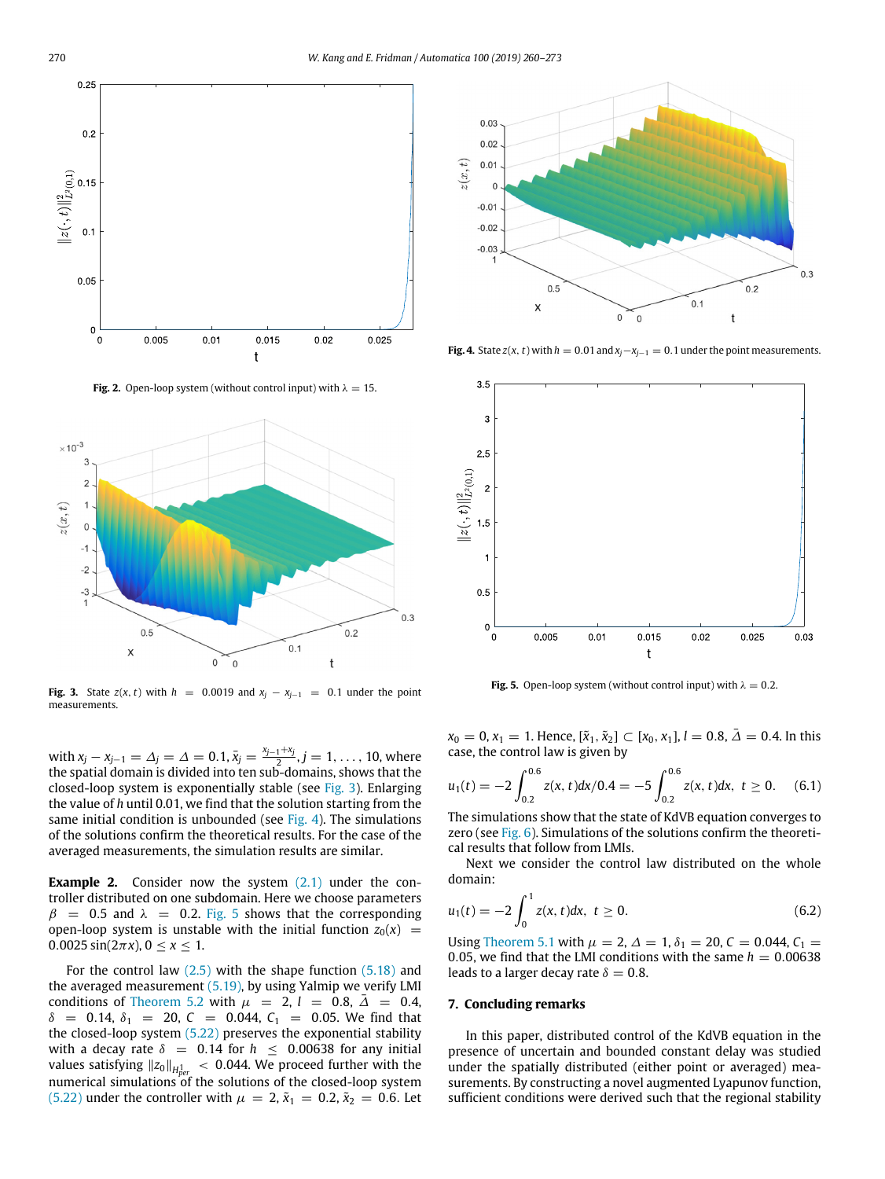

**Fig. 2.** Open-loop system (without control input) with  $\lambda = 15$ .



**Fig. 3.** State  $z(x, t)$  with  $h = 0.0019$  and  $x_i - x_{i-1} = 0.1$  under the point measurements.

with  $x_j - x_{j-1} = \Delta_j = \Delta = 0.1$ ,  $\bar{x}_j = \frac{x_{j-1} + x_j}{2}$ ,  $j = 1, ..., 10$ , where the spatial domain is divided into ten sub-domains, shows that the closed-loop system is exponentially stable (see Fig. 3). Enlarging the value of *h* until 0.01, we find that the solution starting from the same initial condition is unbounded (see Fig. 4). The simulations of the solutions confirm the theoretical results. For the case of the averaged measurements, the simulation results are similar.

**Example 2.** Consider now the system (2.1) under the controller distributed on one subdomain. Here we choose parameters  $β = 0.5$  and  $λ = 0.2$ . Fig. 5 shows that the corresponding open-loop system is unstable with the initial function  $z_0(x)$  =  $0.0025 \sin(2\pi x), 0 \le x \le 1.$ 

For the control law  $(2.5)$  with the shape function  $(5.18)$  and the averaged measurement (5.19), by using Yalmip we verify LMI conditions of Theorem 5.2 with  $\mu$  = 2, *l* = 0.8,  $\bar{\Delta}$  = 0.4,  $\delta$  = 0.14,  $\delta_1$  = 20, *C* = 0.044, *C*<sub>1</sub> = 0.05. We find that the closed-loop system (5.22) preserves the exponential stability with a decay rate  $\delta = 0.14$  for  $h \le 0.00638$  for any initial values satisfying ∥*z*0∥*<sup>H</sup>* 1 < 0.044. We proceed further with the numerical simulations of the solutions of the closed-loop system (5.22) under the controller with  $\mu = 2$ ,  $\tilde{x}_1 = 0.2$ ,  $\tilde{x}_2 = 0.6$ . Let



**Fig. 4.** State *z*(*x*, *t*) with  $h = 0.01$  and  $x_j - x_{j-1} = 0.1$  under the point measurements.



**Fig. 5.** Open-loop system (without control input) with  $\lambda = 0.2$ .

*x*<sup>0</sup> = 0, *x*<sup>1</sup> = 1. Hence, [ $\tilde{x}_1$ ,  $\tilde{x}_2$ ] ⊂ [*x*<sub>0</sub>, *x*<sub>1</sub>], *l* = 0.8,  $\bar{\Delta}$  = 0.4. In this case, the control law is given by

$$
u_1(t) = -2 \int_{0.2}^{0.6} z(x, t) dx / 0.4 = -5 \int_{0.2}^{0.6} z(x, t) dx, \ t \ge 0. \tag{6.1}
$$

The simulations show that the state of KdVB equation converges to zero (see Fig. 6). Simulations of the solutions confirm the theoretical results that follow from LMIs.

Next we consider the control law distributed on the whole domain:

$$
u_1(t) = -2 \int_0^1 z(x, t) dx, \ t \ge 0.
$$
 (6.2)

Using Theorem 5.1 with  $\mu = 2$ ,  $\Delta = 1$ ,  $\delta_1 = 20$ ,  $C = 0.044$ ,  $C_1 =$ 0.05, we find that the LMI conditions with the same  $h = 0.00638$ leads to a larger decay rate  $\delta = 0.8$ .

#### **7. Concluding remarks**

In this paper, distributed control of the KdVB equation in the presence of uncertain and bounded constant delay was studied under the spatially distributed (either point or averaged) measurements. By constructing a novel augmented Lyapunov function, sufficient conditions were derived such that the regional stability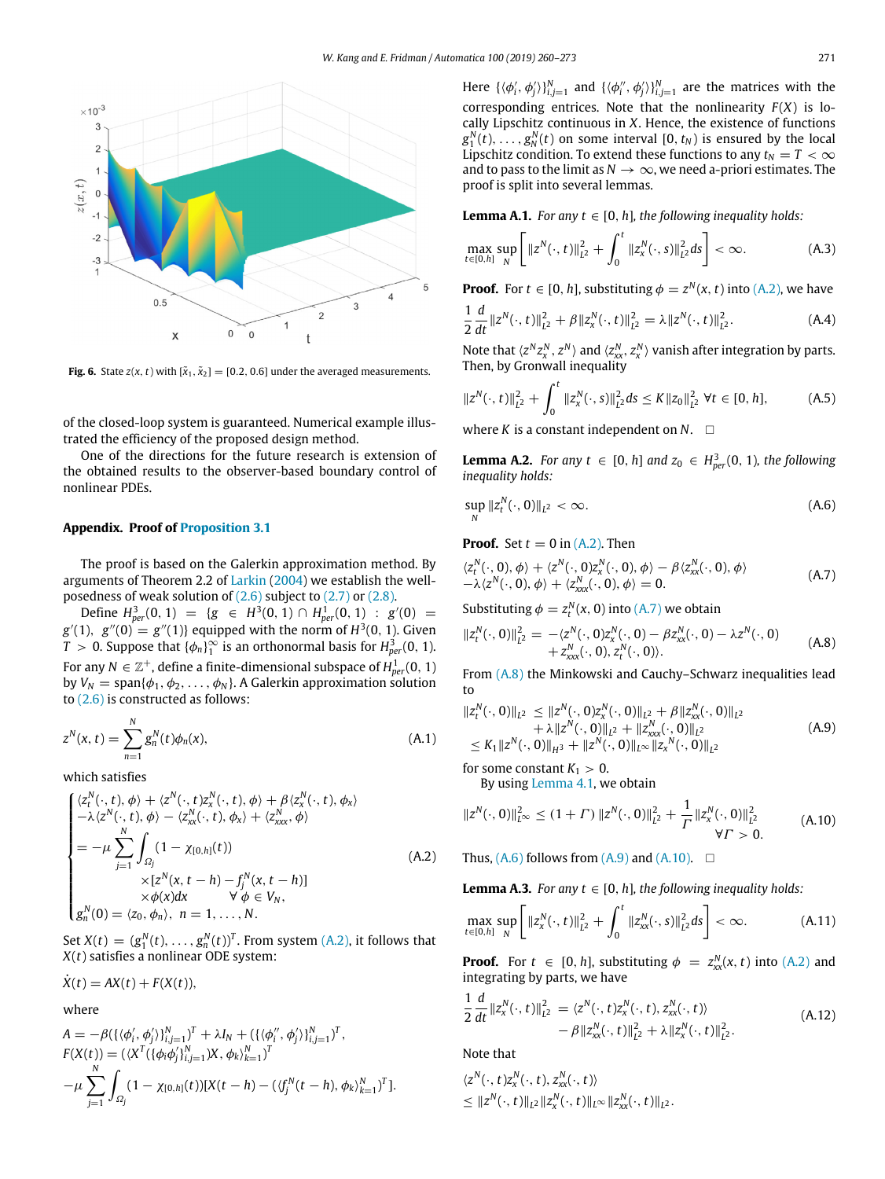

**Fig. 6.** State  $z(x, t)$  with  $[\tilde{x}_1, \tilde{x}_2] = [0.2, 0.6]$  under the averaged measurements.

of the closed-loop system is guaranteed. Numerical example illustrated the efficiency of the proposed design method.

One of the directions for the future research is extension of the obtained results to the observer-based boundary control of nonlinear PDEs.

## **Appendix. Proof of Proposition 3.1**

The proof is based on the Galerkin approximation method. By arguments of Theorem 2.2 of Larkin (2004) we establish the wellposedness of weak solution of (2.6) subject to (2.7) or (2.8).

Define  $H_{per}^3(0, 1) = {g \in H^3(0, 1) \cap H_{per}^1(0, 1) : g'(0) =$  $g'(1)$ ,  $g''(0) = g''(1)$ } equipped with the norm of  $H^3(0, 1)$ . Given  $T > 0$ . Suppose that  $\{\phi_n\}_1^{\infty}$  is an orthonormal basis for  $H_{per}^3(0, 1)$ . For any  $N\in\mathbb{Z}^+$ , define a finite-dimensional subspace of  $H_{per}^1(0,\,1)$ by  $V_N = \text{span}\{\phi_1, \phi_2, \dots, \phi_N\}$ . A Galerkin approximation solution to (2.6) is constructed as follows:

$$
z^{N}(x,t) = \sum_{n=1}^{N} g_{n}^{N}(t)\phi_{n}(x),
$$
\n(A.1)

which satisfies

$$
\begin{cases}\n\langle z_{1}^{N}(\cdot,t),\phi\rangle+\langle z^{N}(\cdot,t)z_{x}^{N}(\cdot,t),\phi\rangle+\beta\langle z_{x}^{N}(\cdot,t),\phi_{x}\rangle \\
-\lambda\langle z^{N}(\cdot,t),\phi\rangle-\langle z_{xx}^{N}(\cdot,t),\phi_{x}\rangle+\langle z_{xxx}^{N},\phi\rangle \\
=-\mu\sum_{j=1}^{N}\int_{\Omega_{j}}(1-\chi_{[0,h]}(t)) \\
\times[z^{N}(x,t-h)-f_{j}^{N}(x,t-h)] \\
\times\phi(x)dx & \forall\phi\in V_{N}, \\
g_{n}^{N}(0)=\langle z_{0},\phi_{n}\rangle,\ n=1,\ldots,N.\n\end{cases} (A.2)
$$

Set  $X(t) = (g_1^N(t), \ldots, g_n^N(t))^T$ . From system (A.2), it follows that *X*(*t*) satisfies a nonlinear ODE system:

 $\dot{X}(t) = AX(t) + F(X(t)),$ 

where

$$
A = -\beta \left( \{ \langle \phi'_i, \phi'_j \rangle \}_{i,j=1}^N \right)^T + \lambda I_N + \left( \{ \langle \phi''_i, \phi'_j \rangle \}_{i,j=1}^N \right)^T,
$$
  
\n
$$
F(X(t)) = (\langle X^T (\{ \phi_i \phi'_j \}_{i,j=1}^N) X, \phi_k \rangle_{k=1}^N)^T
$$
  
\n
$$
-\mu \sum_{j=1}^N \int_{\Omega_j} (1 - \chi_{[0,h]}(t)) [X(t-h) - (\langle f_j^N(t-h), \phi_k \rangle_{k=1}^N)^T].
$$

Here  $\{\langle \phi'_i, \phi'_j \rangle\}_{i,j=1}^N$  and  $\{\langle \phi''_i, \phi'_j \rangle\}_{i,j=1}^N$  are the matrices with the corresponding entrices. Note that the nonlinearity  $F(X)$  is locally Lipschitz continuous in *X*. Hence, the existence of functions  $g_1^N(t), \ldots, g_N^N(t)$  on some interval  $[0, t_N)$  is ensured by the local Lipschitz condition. To extend these functions to any  $t_N = T < \infty$ and to pass to the limit as  $N \to \infty$ , we need a-priori estimates. The proof is split into several lemmas.

**Lemma A.1.** *For any t*  $\in$  [0, *h*]*, the following inequality holds:* 

$$
\max_{t \in [0,h]} \sup_N \left[ \|z^N(\cdot,t)\|_{L^2}^2 + \int_0^t \|z^N(x,s)\|_{L^2}^2 ds \right] < \infty.
$$
 (A.3)

**Proof.** For  $t \in [0, h]$ , substituting  $\phi = z^N(x, t)$  into (A.2), we have

$$
\frac{1}{2}\frac{d}{dt}\|z^N(\cdot,t)\|_{L^2}^2 + \beta\|z_x^N(\cdot,t)\|_{L^2}^2 = \lambda\|z^N(\cdot,t)\|_{L^2}^2.
$$
 (A.4)

Note that  $\langle z^N z_x^N, z^N \rangle$  and  $\langle z_{xx}^N, z_x^N \rangle$  vanish after integration by parts. Then, by Gronwall inequality

$$
||z^N(\cdot,t)||_{L^2}^2 + \int_0^t ||z_x^N(\cdot,s)||_{L^2}^2 ds \le K ||z_0||_{L^2}^2 \ \forall t \in [0,h], \tag{A.5}
$$

where *K* is a constant independent on  $N$ .  $\square$ 

**Lemma A.2.** *For any t*  $\in$  [0, *h*] *and*  $z_0 \in H^3_{per}(0, 1)$ *, the following inequality holds:*

$$
\sup_{N} \|z_{t}^{N}(\cdot,0)\|_{L^{2}} < \infty.
$$
\n(A.6)

**Proof.** Set  $t = 0$  in  $(A,2)$ . Then

$$
\langle z_t^N(\cdot,0),\phi\rangle + \langle z^N(\cdot,0)z_x^N(\cdot,0),\phi\rangle - \beta \langle z_{xx}^N(\cdot,0),\phi\rangle -\lambda \langle z^N(\cdot,0),\phi\rangle + \langle z_{xxx}^N(\cdot,0),\phi\rangle = 0.
$$
 (A.7)

Substituting  $\phi = z_t^N(x, 0)$  into (A.7) we obtain

$$
||z_t^N(\cdot,0)||_{L^2}^2 = -\langle z^N(\cdot,0)z_x^N(\cdot,0) - \beta z_{xx}^N(\cdot,0) - \lambda z^N(\cdot,0) - z_{xx}^N(\cdot,0) - z_{xxx}^N(\cdot,0) \rangle.
$$
 (A.8)

From (A.8) the Minkowski and Cauchy–Schwarz inequalities lead to

$$
||z_i^N(\cdot, 0)||_{L^2} \le ||z^N(\cdot, 0)z_x^N(\cdot, 0)||_{L^2} + \beta ||z_{xx}^N(\cdot, 0)||_{L^2} + \lambda ||z^N(\cdot, 0)||_{L^2} + ||z_{xxx}^N(\cdot, 0)||_{L^2} \le K_1 ||z^N(\cdot, 0)||_{H^3} + ||z^N(\cdot, 0)||_{L^\infty} ||z_x^N(\cdot, 0)||_{L^2}
$$
\n(A.9)

for some constant  $K_1 > 0$ . By using Lemma 4.1, we obtain

 $||z^N(\cdot,0)||_{L^{\infty}}^2 \leq (1+\Gamma) ||z^N(\cdot,0)||_{L^2}^2 + \frac{1}{\Gamma}$  $\frac{1}{\Gamma} ||z_x^N(\cdot, 0)||_{L^2}^2$  $\forall \Gamma > 0.$ (A.10)

Thus,  $(A,6)$  follows from  $(A,9)$  and  $(A,10)$ .  $\Box$ 

**Lemma A.3.** *For any t*  $\in$  [0, *h*]*, the following inequality holds:* 

$$
\max_{t \in [0,h]} \sup_N \left[ \|z_x^N(\cdot,t)\|_{L^2}^2 + \int_0^t \|z_{xx}^N(\cdot,s)\|_{L^2}^2 ds \right] < \infty.
$$
 (A.11)

**Proof.** For  $t \in [0, h]$ , substituting  $\phi = z_{xx}^N(x, t)$  into (A.2) and integrating by parts, we have

$$
\frac{1}{2}\frac{d}{dt}||z_x^N(\cdot,t)||_{L^2}^2 = \langle z^N(\cdot,t)z_x^N(\cdot,t), z_{xx}^N(\cdot,t)\rangle \n- \beta ||z_{xx}^N(\cdot,t)||_{L^2}^2 + \lambda ||z_x^N(\cdot,t)||_{L^2}^2.
$$
\n(A.12)

Note that

$$
\langle z^N(\cdot,t)z^N_x(\cdot,t),z^N_{xx}(\cdot,t)\rangle
$$
  

$$
\leq ||z^N(\cdot,t)||_{L^2}||z^N_x(\cdot,t)||_{L^\infty}||z^N_{xx}(\cdot,t)||_{L^2}.
$$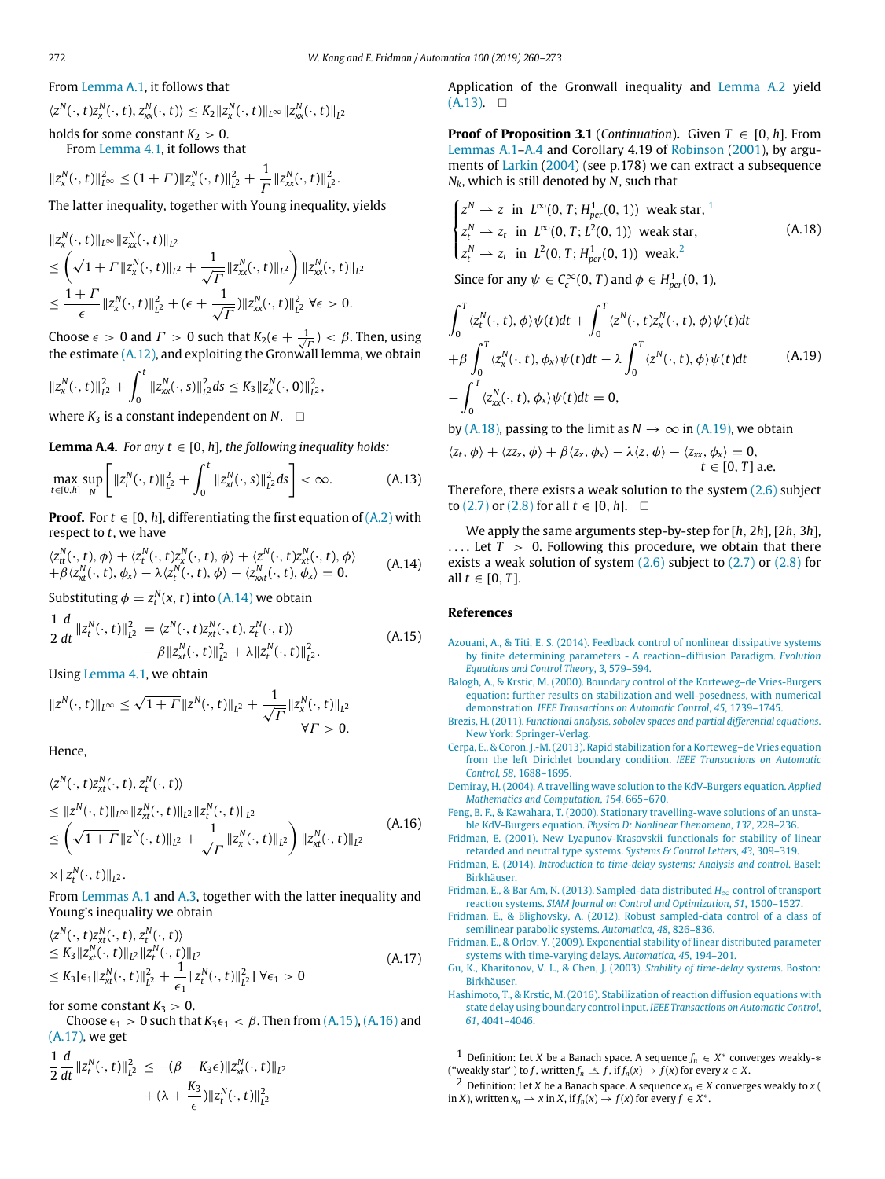$$
\langle z^N(\cdot,t)z^N_x(\cdot,t),z^N_{xx}(\cdot,t)\rangle\leq K_2\|z^N_x(\cdot,t)\|_{L^\infty}\|z^N_{xx}(\cdot,t)\|_{L^2}
$$

holds for some constant  $K_2 > 0$ . From Lemma 4.1, it follows that

$$
||z_x^N(\cdot,t)||_{L^{\infty}}^2 \leq (1+\Gamma) ||z_x^N(\cdot,t)||_{L^2}^2 + \frac{1}{\Gamma} ||z_{xx}^N(\cdot,t)||_{L^2}^2.
$$

The latter inequality, together with Young inequality, yields

$$
||z_{x}^{N}(\cdot,t)||_{L^{\infty}}||z_{xx}^{N}(\cdot,t)||_{L^{2}}\n\leq \left(\sqrt{1+1}\|z_{x}^{N}(\cdot,t)||_{L^{2}}+\frac{1}{\sqrt{\Gamma}}\|z_{xx}^{N}(\cdot,t)||_{L^{2}}\right)||z_{xx}^{N}(\cdot,t)||_{L^{2}}\n\leq \frac{1+\Gamma}{\epsilon}||z_{x}^{N}(\cdot,t)||_{L^{2}}^{2}+(\epsilon+\frac{1}{\sqrt{\Gamma}})||z_{xx}^{N}(\cdot,t)||_{L^{2}}^{2} \forall \epsilon > 0.
$$

Choose  $\epsilon > 0$  and  $\Gamma > 0$  such that  $K_2(\epsilon + \frac{1}{\sqrt{\Gamma}}) < \beta$ . Then, using the estimate  $(A.12)$ , and exploiting the Gronwall lemma, we obtain

$$
||z_x^N(\cdot,t)||_{L^2}^2+\int_0^t ||z_{xx}^N(\cdot,s)||_{L^2}^2 ds \leq K_3 ||z_x^N(\cdot,0)||_{L^2}^2,
$$

where  $K_3$  is a constant independent on  $N$ .  $\square$ 

**Lemma A.4.** *For any t*  $\in$  [0, *h*]*, the following inequality holds:* 

$$
\max_{t\in[0,h]} \sup_N \left[ \|z_t^N(\cdot,t)\|_{L^2}^2 + \int_0^t \|z_{xt}^N(\cdot,s)\|_{L^2}^2 ds \right] < \infty.
$$
 (A.13)

**Proof.** For  $t \in [0, h]$ , differentiating the first equation of  $(A, 2)$  with respect to *t*, we have

$$
\langle z_{tt}^N(\cdot,t),\phi\rangle + \langle z_t^N(\cdot,t)z_x^N(\cdot,t),\phi\rangle + \langle z^N(\cdot,t)z_{xt}^N(\cdot,t),\phi\rangle + \beta \langle z_{xt}^N(\cdot,t),\phi_x\rangle - \lambda \langle z_t^N(\cdot,t),\phi\rangle - \langle z_{xxt}^N(\cdot,t),\phi_x\rangle = 0.
$$
 (A.14)

Substituting  $\phi = z_t^N(x, t)$  into (A.14) we obtain

$$
\frac{1}{2}\frac{d}{dt}\|z_t^N(\cdot,t)\|_{L^2}^2 = \langle z^N(\cdot,t)z_{xt}^N(\cdot,t), z_t^N(\cdot,t)\rangle \n- \beta \|z_{xt}^N(\cdot,t)\|_{L^2}^2 + \lambda \|z_t^N(\cdot,t)\|_{L^2}^2.
$$
\n(A.15)

Using Lemma 4.1, we obtain

$$
||z^N(\cdot,t)||_{L^{\infty}} \leq \sqrt{1+|\Gamma|}||z^N(\cdot,t)||_{L^2} + \frac{1}{\sqrt{\Gamma}}||z^N(x,t)||_{L^2}
$$
  

$$
\forall \Gamma > 0.
$$

Hence,

$$
\langle z^N(\cdot, t)z_{xt}^N(\cdot, t), z_t^N(\cdot, t) \rangle
$$
  
\n
$$
\leq ||z^N(\cdot, t)||_{L^{\infty}}||z_{xt}^N(\cdot, t)||_{L^2}||z_t^N(\cdot, t)||_{L^2}
$$
  
\n
$$
\leq \left(\sqrt{1+|\zeta|^N(\cdot, t)||_{L^2}} + \frac{1}{\sqrt{\Gamma}}||z_t^N(\cdot, t)||_{L^2}\right) ||z_{xt}^N(\cdot, t)||_{L^2}
$$
\n(A.16)

 $\times$  || $z_t^N(\cdot, t)$ ||<sub>L</sub>2.

From Lemmas A.1 and A.3, together with the latter inequality and Young's inequality we obtain

$$
\langle z^N(\cdot, t) z^N_{xt}(\cdot, t), z^N_{t}(\cdot, t) \rangle
$$
  
\n
$$
\leq K_3 \| z^N_{xt}(\cdot, t) \|_{L^2} \| z^N_{t}(\cdot, t) \|_{L^2}
$$
  
\n
$$
\leq K_3 [\epsilon_1 \| z^N_{xt}(\cdot, t) \|_{L^2}^2 + \frac{1}{\epsilon_1} \| z^N_{t}(\cdot, t) \|_{L^2}^2 ] \ \forall \epsilon_1 > 0
$$
\n(A.17)

for some constant  $K_3 > 0$ .

Choose  $\epsilon_1 > 0$  such that  $K_3 \epsilon_1 < \beta$ . Then from  $(A.15)$ ,  $(A.16)$  and (A.17), we get

$$
\frac{1}{2}\frac{d}{dt}\|z_t^N(\cdot,t)\|_{L^2}^2 \leq -(\beta - K_3\epsilon)\|z_{xt}^N(\cdot,t)\|_{L^2} + (\lambda + \frac{K_3}{\epsilon})\|z_t^N(\cdot,t)\|_{L^2}^2
$$

Application of the Gronwall inequality and Lemma A.2 yield  $(A.13)$ . □

**Proof of Proposition 3.1** (*Continuation*). Given  $T \in [0, h]$ . From Lemmas A.1–A.4 and Corollary 4.19 of Robinson (2001), by arguments of Larkin (2004) (see p.178) we can extract a subsequence *Nk*, which is still denoted by *N*, such that

$$
\begin{cases}\nz^N \rightharpoonup z \text{ in } L^{\infty}(0, T; H_{per}^1(0, 1)) \text{ weak star,}^1 \\
z_t^N \rightharpoonup z_t \text{ in } L^{\infty}(0, T; L^2(0, 1)) \text{ weak star,} \\
z_t^N \rightharpoonup z_t \text{ in } L^2(0, T; H_{per}^1(0, 1)) \text{ weak.}^2\n\end{cases} \tag{A.18}
$$

Since for any  $\psi \in C_c^{\infty}(0, T)$  and  $\phi \in H^1_{per}(0, 1)$ ,

$$
\int_0^T \langle z_t^N(\cdot, t), \phi \rangle \psi(t) dt + \int_0^T \langle z^N(\cdot, t) z_x^N(\cdot, t), \phi \rangle \psi(t) dt
$$
  
+  $\beta \int_0^T \langle z_x^N(\cdot, t), \phi_x \rangle \psi(t) dt - \lambda \int_0^T \langle z^N(\cdot, t), \phi \rangle \psi(t) dt$  (A.19)  
-  $\int_0^T \langle z_{xx}^N(\cdot, t), \phi_x \rangle \psi(t) dt = 0,$ 

by (A, 18), passing to the limit as  $N \to \infty$  in (A, 19), we obtain

$$
\langle z_t, \phi \rangle + \langle z z_x, \phi \rangle + \beta \langle z_x, \phi_x \rangle - \lambda \langle z, \phi \rangle - \langle z_{xx}, \phi_x \rangle = 0, t \in [0, T] a.e.
$$

Therefore, there exists a weak solution to the system  $(2.6)$  subject to (2.7) or (2.8) for all  $t \in [0, h]$ . □

We apply the same arguments step-by-step for [*h*, 2*h*], [2*h*, 3*h*],  $\ldots$  Let  $T > 0$ . Following this procedure, we obtain that there exists a weak solution of system  $(2.6)$  subject to  $(2.7)$  or  $(2.8)$  for all  $t \in [0, T]$ .

#### **References**

- Azouani, A., & Titi, E. S. [\(2014\).](http://refhub.elsevier.com/S0005-1098(18)30557-0/sb1) [Feedback control of nonlinear dissipative systems](http://refhub.elsevier.com/S0005-1098(18)30557-0/sb1) [by finite determining parameters - A reaction–diffusion Paradigm.](http://refhub.elsevier.com/S0005-1098(18)30557-0/sb1) *[Evolution](http://refhub.elsevier.com/S0005-1098(18)30557-0/sb1) [Equations and Control Theory](http://refhub.elsevier.com/S0005-1098(18)30557-0/sb1)*, *[3](http://refhub.elsevier.com/S0005-1098(18)30557-0/sb1)*, [579–594.](http://refhub.elsevier.com/S0005-1098(18)30557-0/sb1)
- Balogh, A., & Krstic, M. [\(2000\).](http://refhub.elsevier.com/S0005-1098(18)30557-0/sb2) [Boundary control of the Korteweg–de Vries-Burgers](http://refhub.elsevier.com/S0005-1098(18)30557-0/sb2) [equation: further results on stabilization and well-posedness, with numerical](http://refhub.elsevier.com/S0005-1098(18)30557-0/sb2) [demonstration.](http://refhub.elsevier.com/S0005-1098(18)30557-0/sb2) *[IEEE Transactions on Automatic Control](http://refhub.elsevier.com/S0005-1098(18)30557-0/sb2)*, *[45](http://refhub.elsevier.com/S0005-1098(18)30557-0/sb2)*, [1739–1745.](http://refhub.elsevier.com/S0005-1098(18)30557-0/sb2)
- Brezis, H. [\(2011\).](http://refhub.elsevier.com/S0005-1098(18)30557-0/sb3) *[Functional analysis, sobolev spaces and partial differential equations](http://refhub.elsevier.com/S0005-1098(18)30557-0/sb3)*. [New York:](http://refhub.elsevier.com/S0005-1098(18)30557-0/sb3) [Springer-Verlag.](http://refhub.elsevier.com/S0005-1098(18)30557-0/sb3)
- Cerpa, E., & Coron, J.-M.[\(2013\).](http://refhub.elsevier.com/S0005-1098(18)30557-0/sb4) [Rapid stabilization for a Korteweg–de Vries equation](http://refhub.elsevier.com/S0005-1098(18)30557-0/sb4) [from the left Dirichlet boundary condition.](http://refhub.elsevier.com/S0005-1098(18)30557-0/sb4) *[IEEE Transactions on Automatic](http://refhub.elsevier.com/S0005-1098(18)30557-0/sb4) [Control](http://refhub.elsevier.com/S0005-1098(18)30557-0/sb4)*, *[58](http://refhub.elsevier.com/S0005-1098(18)30557-0/sb4)*, [1688–1695.](http://refhub.elsevier.com/S0005-1098(18)30557-0/sb4)
- Demiray, H. [\(2004\).](http://refhub.elsevier.com/S0005-1098(18)30557-0/sb5) [A travelling wave solution to the KdV-Burgers equation.](http://refhub.elsevier.com/S0005-1098(18)30557-0/sb5) *[Applied](http://refhub.elsevier.com/S0005-1098(18)30557-0/sb5) [Mathematics and Computation](http://refhub.elsevier.com/S0005-1098(18)30557-0/sb5)*, *[154](http://refhub.elsevier.com/S0005-1098(18)30557-0/sb5)*, [665–670](http://refhub.elsevier.com/S0005-1098(18)30557-0/sb5).
- Feng, B. F., & Kawahara, T. [\(2000\).](http://refhub.elsevier.com/S0005-1098(18)30557-0/sb6) [Stationary travelling-wave solutions of an unsta](http://refhub.elsevier.com/S0005-1098(18)30557-0/sb6)[ble KdV-Burgers equation.](http://refhub.elsevier.com/S0005-1098(18)30557-0/sb6) *[Physica D: Nonlinear Phenomena](http://refhub.elsevier.com/S0005-1098(18)30557-0/sb6)*, *[137](http://refhub.elsevier.com/S0005-1098(18)30557-0/sb6)*, [228–236](http://refhub.elsevier.com/S0005-1098(18)30557-0/sb6).
- Fridman, E. [\(2001\).](http://refhub.elsevier.com/S0005-1098(18)30557-0/sb7) [New Lyapunov-Krasovskii functionals for stability of linear](http://refhub.elsevier.com/S0005-1098(18)30557-0/sb7) [retarded and neutral type systems.](http://refhub.elsevier.com/S0005-1098(18)30557-0/sb7) *[Systems & Control Letters](http://refhub.elsevier.com/S0005-1098(18)30557-0/sb7)*, *[43](http://refhub.elsevier.com/S0005-1098(18)30557-0/sb7)*, [309–319.](http://refhub.elsevier.com/S0005-1098(18)30557-0/sb7)
- Fridman, E. [\(2014\).](http://refhub.elsevier.com/S0005-1098(18)30557-0/sb8) *[Introduction to time-delay systems: Analysis and control](http://refhub.elsevier.com/S0005-1098(18)30557-0/sb8)*. [Basel:](http://refhub.elsevier.com/S0005-1098(18)30557-0/sb8) [Birkhäuser.](http://refhub.elsevier.com/S0005-1098(18)30557-0/sb8)
- Fridman, E., & Bar Am, N. [\(2013\).](http://refhub.elsevier.com/S0005-1098(18)30557-0/sb9) [Sampled-data distributed](http://refhub.elsevier.com/S0005-1098(18)30557-0/sb9) *H*∞ control of transport [reaction systems.](http://refhub.elsevier.com/S0005-1098(18)30557-0/sb9) *[SIAM Journal on Control and Optimization](http://refhub.elsevier.com/S0005-1098(18)30557-0/sb9)*, *[51](http://refhub.elsevier.com/S0005-1098(18)30557-0/sb9)*, [1500–1527](http://refhub.elsevier.com/S0005-1098(18)30557-0/sb9).
- Fridman, E., & Blighovsky, A. [\(2012\).](http://refhub.elsevier.com/S0005-1098(18)30557-0/sb10) [Robust sampled-data control of a class of](http://refhub.elsevier.com/S0005-1098(18)30557-0/sb10) [semilinear parabolic systems.](http://refhub.elsevier.com/S0005-1098(18)30557-0/sb10) *[Automatica](http://refhub.elsevier.com/S0005-1098(18)30557-0/sb10)*, *[48](http://refhub.elsevier.com/S0005-1098(18)30557-0/sb10)*, [826–836.](http://refhub.elsevier.com/S0005-1098(18)30557-0/sb10)
- Fridman, E., & Orlov, Y. [\(2009\).](http://refhub.elsevier.com/S0005-1098(18)30557-0/sb11) [Exponential stability of linear distributed parameter](http://refhub.elsevier.com/S0005-1098(18)30557-0/sb11) [systems with time-varying delays.](http://refhub.elsevier.com/S0005-1098(18)30557-0/sb11) *[Automatica](http://refhub.elsevier.com/S0005-1098(18)30557-0/sb11)*, *[45](http://refhub.elsevier.com/S0005-1098(18)30557-0/sb11)*, [194–201](http://refhub.elsevier.com/S0005-1098(18)30557-0/sb11).
- [Gu, K., Kharitonov, V. L., & Chen, J.](http://refhub.elsevier.com/S0005-1098(18)30557-0/sb12) [\(2003\).](http://refhub.elsevier.com/S0005-1098(18)30557-0/sb12) *[Stability of time-delay systems](http://refhub.elsevier.com/S0005-1098(18)30557-0/sb12)*. [Boston:](http://refhub.elsevier.com/S0005-1098(18)30557-0/sb12) [Birkhäuser.](http://refhub.elsevier.com/S0005-1098(18)30557-0/sb12)
- Hashimoto, T., & Krstic, M. [\(2016\).](http://refhub.elsevier.com/S0005-1098(18)30557-0/sb14) [Stabilization of reaction diffusion equations with](http://refhub.elsevier.com/S0005-1098(18)30557-0/sb14) [state delay using boundary control input.](http://refhub.elsevier.com/S0005-1098(18)30557-0/sb14) *[IEEE Transactions on Automatic Control](http://refhub.elsevier.com/S0005-1098(18)30557-0/sb14)*, *[61](http://refhub.elsevier.com/S0005-1098(18)30557-0/sb14)*, [4041–4046.](http://refhub.elsevier.com/S0005-1098(18)30557-0/sb14)

<sup>&</sup>lt;sup>1</sup> Definition: Let *X* be a Banach space. A sequence  $f_n \in X^*$  converges weakly- $*$ ("weakly star") to *f* , written  $f_n \preceq f$  , if  $f_n(x) \to f(x)$  for every  $x \in X$ .

<sup>&</sup>lt;sup>2</sup> Definition: Let *X* be a Banach space. A sequence  $x_n \in X$  converges weakly to *x* ( in *X*), written  $x_n$  → *x* in *X*, if  $f_n(x)$  →  $f(x)$  for every  $f \in X^*$ .